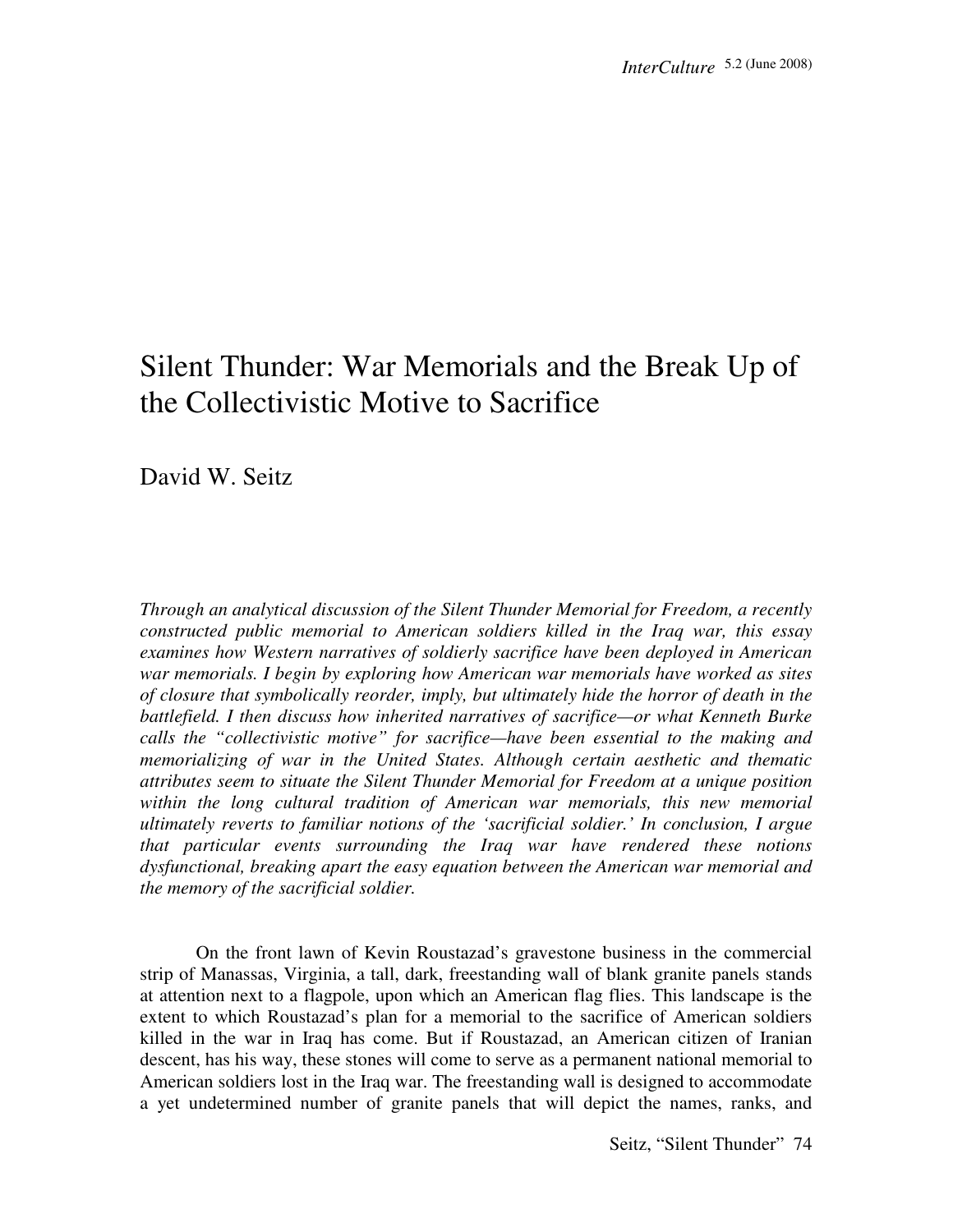# Silent Thunder: War Memorials and the Break Up of the Collectivistic Motive to Sacrifice

David W. Seitz

*Through an analytical discussion of the Silent Thunder Memorial for Freedom, a recently constructed public memorial to American soldiers killed in the Iraq war, this essay examines how Western narratives of soldierly sacrifice have been deployed in American war memorials. I begin by exploring how American war memorials have worked as sites of closure that symbolically reorder, imply, but ultimately hide the horror of death in the battlefield. I then discuss how inherited narratives of sacrifice—or what Kenneth Burke calls the "collectivistic motive" for sacrifice—have been essential to the making and memorializing of war in the United States. Although certain aesthetic and thematic attributes seem to situate the Silent Thunder Memorial for Freedom at a unique position within the long cultural tradition of American war memorials, this new memorial ultimately reverts to familiar notions of the 'sacrificial soldier.' In conclusion, I argue that particular events surrounding the Iraq war have rendered these notions dysfunctional, breaking apart the easy equation between the American war memorial and the memory of the sacrificial soldier.* 

 On the front lawn of Kevin Roustazad's gravestone business in the commercial strip of Manassas, Virginia, a tall, dark, freestanding wall of blank granite panels stands at attention next to a flagpole, upon which an American flag flies. This landscape is the extent to which Roustazad's plan for a memorial to the sacrifice of American soldiers killed in the war in Iraq has come. But if Roustazad, an American citizen of Iranian descent, has his way, these stones will come to serve as a permanent national memorial to American soldiers lost in the Iraq war. The freestanding wall is designed to accommodate a yet undetermined number of granite panels that will depict the names, ranks, and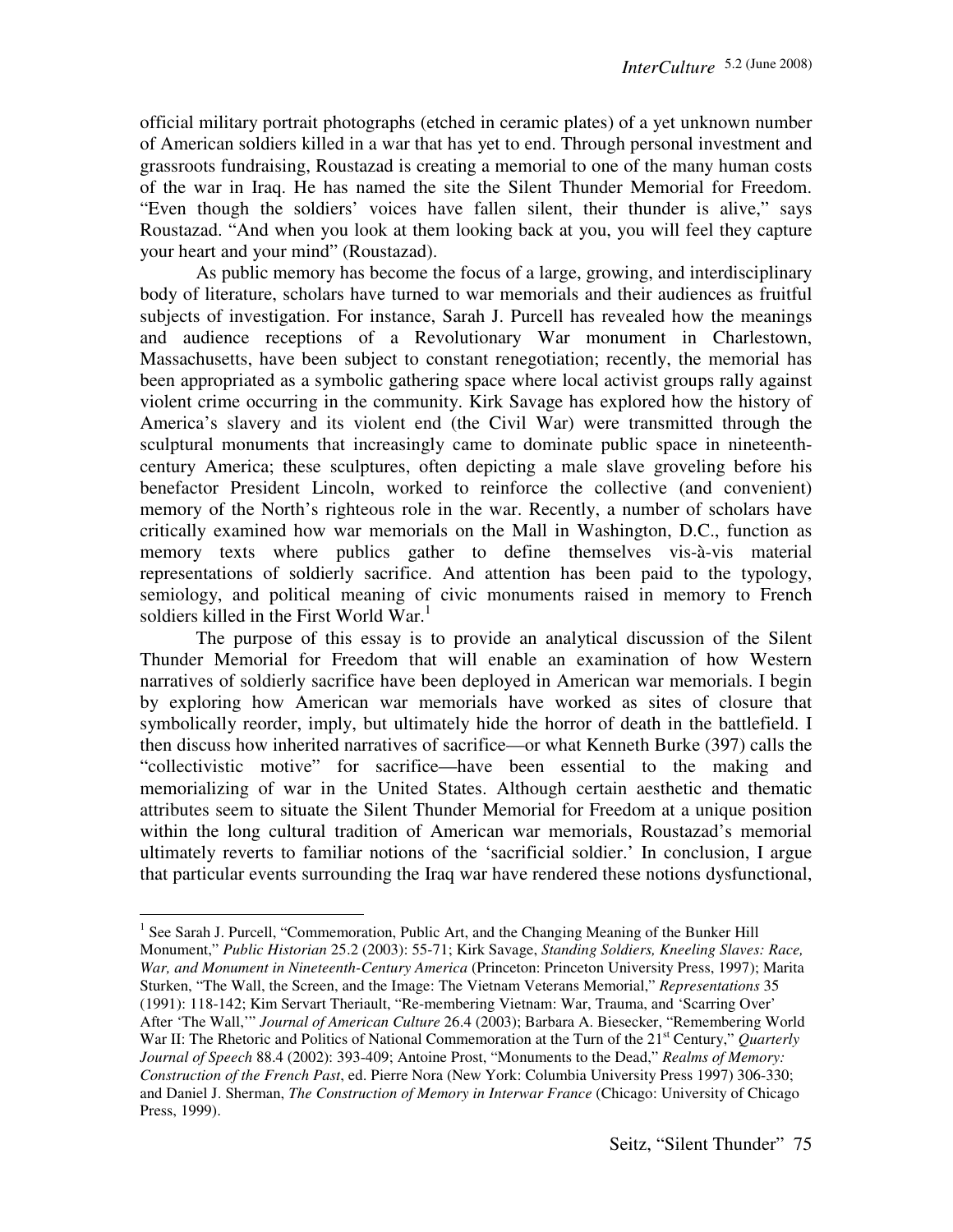official military portrait photographs (etched in ceramic plates) of a yet unknown number of American soldiers killed in a war that has yet to end. Through personal investment and grassroots fundraising, Roustazad is creating a memorial to one of the many human costs of the war in Iraq. He has named the site the Silent Thunder Memorial for Freedom. "Even though the soldiers' voices have fallen silent, their thunder is alive," says Roustazad. "And when you look at them looking back at you, you will feel they capture your heart and your mind" (Roustazad).

 As public memory has become the focus of a large, growing, and interdisciplinary body of literature, scholars have turned to war memorials and their audiences as fruitful subjects of investigation. For instance, Sarah J. Purcell has revealed how the meanings and audience receptions of a Revolutionary War monument in Charlestown, Massachusetts, have been subject to constant renegotiation; recently, the memorial has been appropriated as a symbolic gathering space where local activist groups rally against violent crime occurring in the community. Kirk Savage has explored how the history of America's slavery and its violent end (the Civil War) were transmitted through the sculptural monuments that increasingly came to dominate public space in nineteenthcentury America; these sculptures, often depicting a male slave groveling before his benefactor President Lincoln, worked to reinforce the collective (and convenient) memory of the North's righteous role in the war. Recently, a number of scholars have critically examined how war memorials on the Mall in Washington, D.C., function as memory texts where publics gather to define themselves vis-à-vis material representations of soldierly sacrifice. And attention has been paid to the typology, semiology, and political meaning of civic monuments raised in memory to French soldiers killed in the First World War.<sup>1</sup>

 The purpose of this essay is to provide an analytical discussion of the Silent Thunder Memorial for Freedom that will enable an examination of how Western narratives of soldierly sacrifice have been deployed in American war memorials. I begin by exploring how American war memorials have worked as sites of closure that symbolically reorder, imply, but ultimately hide the horror of death in the battlefield. I then discuss how inherited narratives of sacrifice—or what Kenneth Burke (397) calls the "collectivistic motive" for sacrifice—have been essential to the making and memorializing of war in the United States. Although certain aesthetic and thematic attributes seem to situate the Silent Thunder Memorial for Freedom at a unique position within the long cultural tradition of American war memorials, Roustazad's memorial ultimately reverts to familiar notions of the 'sacrificial soldier.' In conclusion, I argue that particular events surrounding the Iraq war have rendered these notions dysfunctional,

<sup>&</sup>lt;sup>1</sup> See Sarah J. Purcell, "Commemoration, Public Art, and the Changing Meaning of the Bunker Hill Monument," *Public Historian* 25.2 (2003): 55-71; Kirk Savage, *Standing Soldiers, Kneeling Slaves: Race, War, and Monument in Nineteenth-Century America* (Princeton: Princeton University Press, 1997); Marita Sturken, "The Wall, the Screen, and the Image: The Vietnam Veterans Memorial," *Representations* 35 (1991): 118-142; Kim Servart Theriault, "Re-membering Vietnam: War, Trauma, and 'Scarring Over' After 'The Wall,'" *Journal of American Culture* 26.4 (2003); Barbara A. Biesecker, "Remembering World War II: The Rhetoric and Politics of National Commemoration at the Turn of the 21<sup>st</sup> Century," *Quarterly Journal of Speech* 88.4 (2002): 393-409; Antoine Prost, "Monuments to the Dead," *Realms of Memory: Construction of the French Past*, ed. Pierre Nora (New York: Columbia University Press 1997) 306-330; and Daniel J. Sherman, *The Construction of Memory in Interwar France* (Chicago: University of Chicago Press, 1999).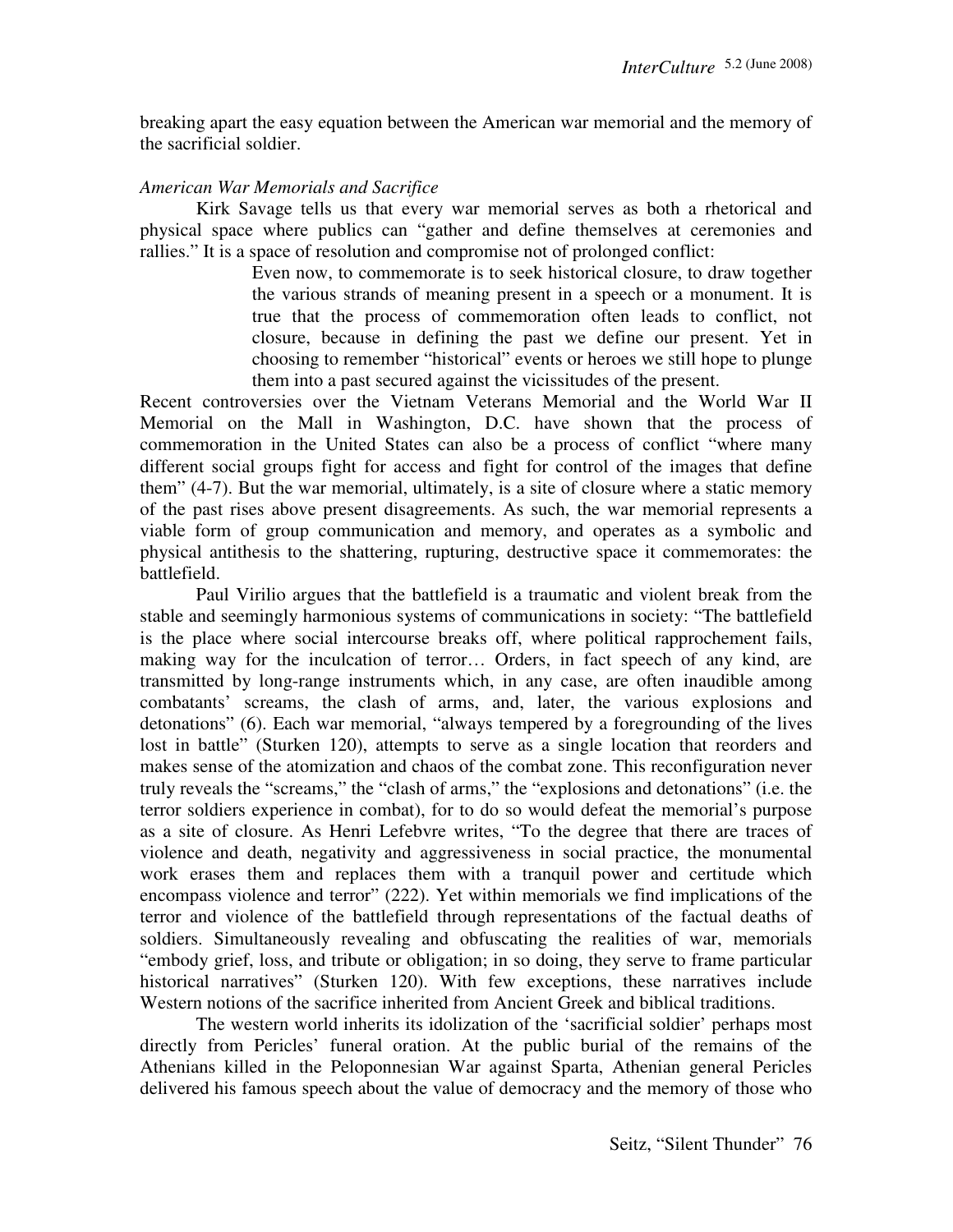breaking apart the easy equation between the American war memorial and the memory of the sacrificial soldier.

## *American War Memorials and Sacrifice*

 Kirk Savage tells us that every war memorial serves as both a rhetorical and physical space where publics can "gather and define themselves at ceremonies and rallies." It is a space of resolution and compromise not of prolonged conflict:

> Even now, to commemorate is to seek historical closure, to draw together the various strands of meaning present in a speech or a monument. It is true that the process of commemoration often leads to conflict, not closure, because in defining the past we define our present. Yet in choosing to remember "historical" events or heroes we still hope to plunge them into a past secured against the vicissitudes of the present.

Recent controversies over the Vietnam Veterans Memorial and the World War II Memorial on the Mall in Washington, D.C. have shown that the process of commemoration in the United States can also be a process of conflict "where many different social groups fight for access and fight for control of the images that define them" (4-7). But the war memorial, ultimately, is a site of closure where a static memory of the past rises above present disagreements. As such, the war memorial represents a viable form of group communication and memory, and operates as a symbolic and physical antithesis to the shattering, rupturing, destructive space it commemorates: the battlefield.

 Paul Virilio argues that the battlefield is a traumatic and violent break from the stable and seemingly harmonious systems of communications in society: "The battlefield is the place where social intercourse breaks off, where political rapprochement fails, making way for the inculcation of terror… Orders, in fact speech of any kind, are transmitted by long-range instruments which, in any case, are often inaudible among combatants' screams, the clash of arms, and, later, the various explosions and detonations" (6). Each war memorial, "always tempered by a foregrounding of the lives lost in battle" (Sturken 120), attempts to serve as a single location that reorders and makes sense of the atomization and chaos of the combat zone. This reconfiguration never truly reveals the "screams," the "clash of arms," the "explosions and detonations" (i.e. the terror soldiers experience in combat), for to do so would defeat the memorial's purpose as a site of closure. As Henri Lefebvre writes, "To the degree that there are traces of violence and death, negativity and aggressiveness in social practice, the monumental work erases them and replaces them with a tranquil power and certitude which encompass violence and terror" (222). Yet within memorials we find implications of the terror and violence of the battlefield through representations of the factual deaths of soldiers. Simultaneously revealing and obfuscating the realities of war, memorials "embody grief, loss, and tribute or obligation; in so doing, they serve to frame particular historical narratives" (Sturken 120). With few exceptions, these narratives include Western notions of the sacrifice inherited from Ancient Greek and biblical traditions.

 The western world inherits its idolization of the 'sacrificial soldier' perhaps most directly from Pericles' funeral oration. At the public burial of the remains of the Athenians killed in the Peloponnesian War against Sparta, Athenian general Pericles delivered his famous speech about the value of democracy and the memory of those who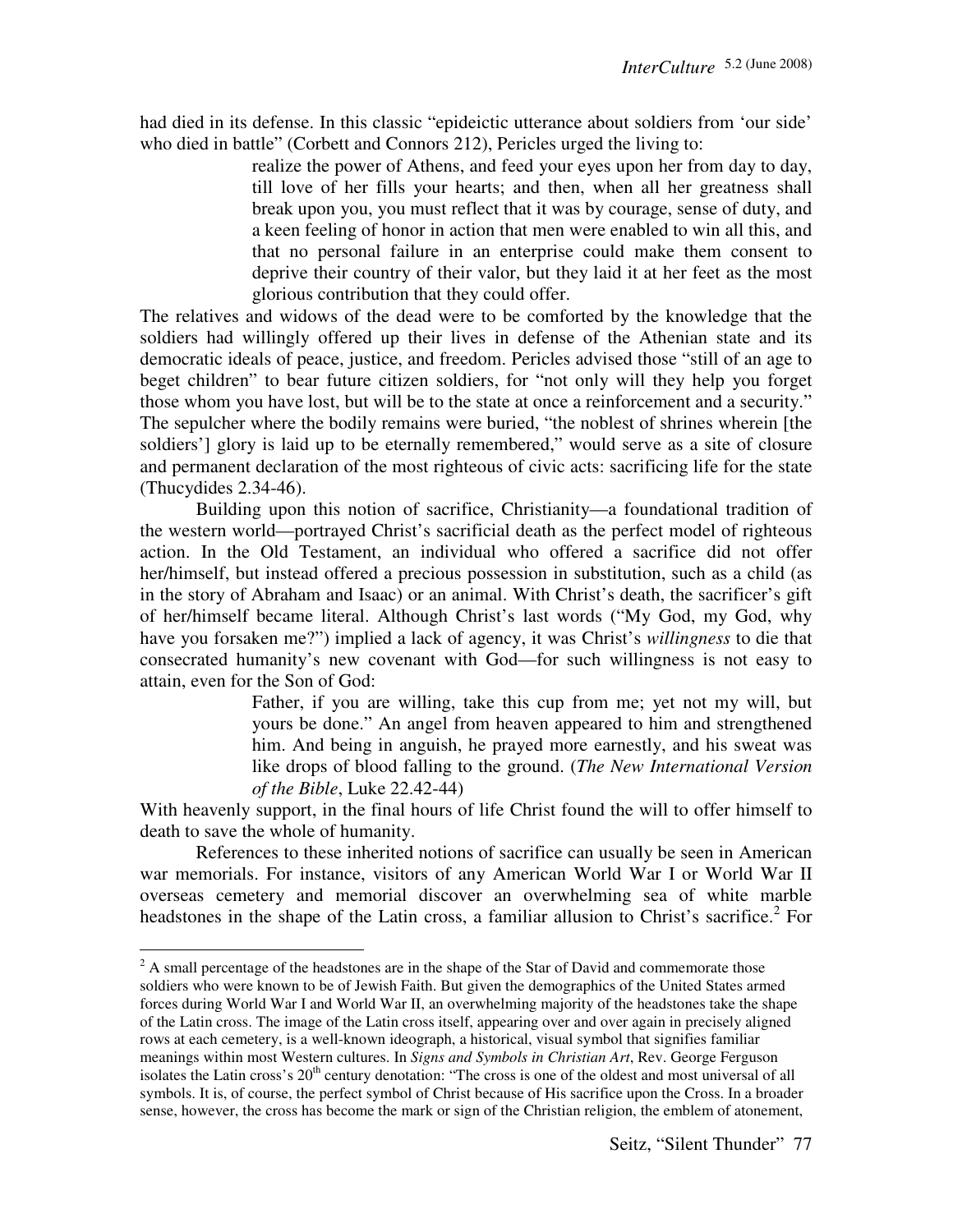had died in its defense. In this classic "epideictic utterance about soldiers from 'our side' who died in battle" (Corbett and Connors 212), Pericles urged the living to:

> realize the power of Athens, and feed your eyes upon her from day to day, till love of her fills your hearts; and then, when all her greatness shall break upon you, you must reflect that it was by courage, sense of duty, and a keen feeling of honor in action that men were enabled to win all this, and that no personal failure in an enterprise could make them consent to deprive their country of their valor, but they laid it at her feet as the most glorious contribution that they could offer.

The relatives and widows of the dead were to be comforted by the knowledge that the soldiers had willingly offered up their lives in defense of the Athenian state and its democratic ideals of peace, justice, and freedom. Pericles advised those "still of an age to beget children" to bear future citizen soldiers, for "not only will they help you forget those whom you have lost, but will be to the state at once a reinforcement and a security." The sepulcher where the bodily remains were buried, "the noblest of shrines wherein [the soldiers'] glory is laid up to be eternally remembered," would serve as a site of closure and permanent declaration of the most righteous of civic acts: sacrificing life for the state (Thucydides 2.34-46).

 Building upon this notion of sacrifice, Christianity—a foundational tradition of the western world—portrayed Christ's sacrificial death as the perfect model of righteous action. In the Old Testament, an individual who offered a sacrifice did not offer her/himself, but instead offered a precious possession in substitution, such as a child (as in the story of Abraham and Isaac) or an animal. With Christ's death, the sacrificer's gift of her/himself became literal. Although Christ's last words ("My God, my God, why have you forsaken me?") implied a lack of agency, it was Christ's *willingness* to die that consecrated humanity's new covenant with God—for such willingness is not easy to attain, even for the Son of God:

> Father, if you are willing, take this cup from me; yet not my will, but yours be done." An angel from heaven appeared to him and strengthened him. And being in anguish, he prayed more earnestly, and his sweat was like drops of blood falling to the ground. (*The New International Version of the Bible*, Luke 22.42-44)

With heavenly support, in the final hours of life Christ found the will to offer himself to death to save the whole of humanity.

 References to these inherited notions of sacrifice can usually be seen in American war memorials. For instance, visitors of any American World War I or World War II overseas cemetery and memorial discover an overwhelming sea of white marble headstones in the shape of the Latin cross, a familiar allusion to Christ's sacrifice.<sup>2</sup> For

<sup>&</sup>lt;sup>2</sup> A small percentage of the headstones are in the shape of the Star of David and commemorate those soldiers who were known to be of Jewish Faith. But given the demographics of the United States armed forces during World War I and World War II, an overwhelming majority of the headstones take the shape of the Latin cross. The image of the Latin cross itself, appearing over and over again in precisely aligned rows at each cemetery, is a well-known ideograph, a historical, visual symbol that signifies familiar meanings within most Western cultures. In *Signs and Symbols in Christian Art*, Rev. George Ferguson isolates the Latin cross's 20<sup>th</sup> century denotation: "The cross is one of the oldest and most universal of all symbols. It is, of course, the perfect symbol of Christ because of His sacrifice upon the Cross. In a broader sense, however, the cross has become the mark or sign of the Christian religion, the emblem of atonement,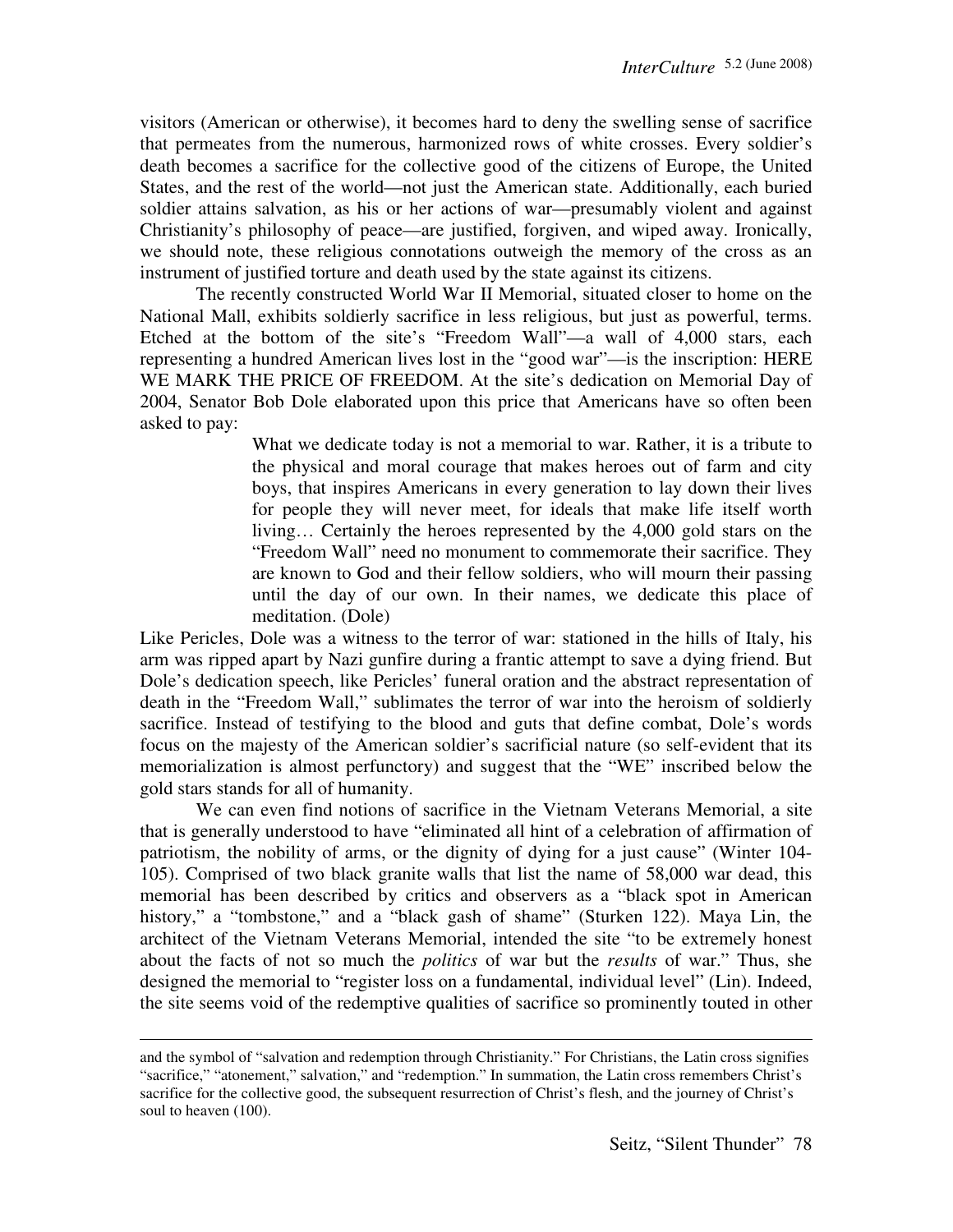visitors (American or otherwise), it becomes hard to deny the swelling sense of sacrifice that permeates from the numerous, harmonized rows of white crosses. Every soldier's death becomes a sacrifice for the collective good of the citizens of Europe, the United States, and the rest of the world—not just the American state. Additionally, each buried soldier attains salvation, as his or her actions of war—presumably violent and against Christianity's philosophy of peace—are justified, forgiven, and wiped away. Ironically, we should note, these religious connotations outweigh the memory of the cross as an instrument of justified torture and death used by the state against its citizens.

 The recently constructed World War II Memorial, situated closer to home on the National Mall, exhibits soldierly sacrifice in less religious, but just as powerful, terms. Etched at the bottom of the site's "Freedom Wall"—a wall of 4,000 stars, each representing a hundred American lives lost in the "good war"—is the inscription: HERE WE MARK THE PRICE OF FREEDOM. At the site's dedication on Memorial Day of 2004, Senator Bob Dole elaborated upon this price that Americans have so often been asked to pay:

> What we dedicate today is not a memorial to war. Rather, it is a tribute to the physical and moral courage that makes heroes out of farm and city boys, that inspires Americans in every generation to lay down their lives for people they will never meet, for ideals that make life itself worth living… Certainly the heroes represented by the 4,000 gold stars on the "Freedom Wall" need no monument to commemorate their sacrifice. They are known to God and their fellow soldiers, who will mourn their passing until the day of our own. In their names, we dedicate this place of meditation. (Dole)

Like Pericles, Dole was a witness to the terror of war: stationed in the hills of Italy, his arm was ripped apart by Nazi gunfire during a frantic attempt to save a dying friend. But Dole's dedication speech, like Pericles' funeral oration and the abstract representation of death in the "Freedom Wall," sublimates the terror of war into the heroism of soldierly sacrifice. Instead of testifying to the blood and guts that define combat, Dole's words focus on the majesty of the American soldier's sacrificial nature (so self-evident that its memorialization is almost perfunctory) and suggest that the "WE" inscribed below the gold stars stands for all of humanity.

 We can even find notions of sacrifice in the Vietnam Veterans Memorial, a site that is generally understood to have "eliminated all hint of a celebration of affirmation of patriotism, the nobility of arms, or the dignity of dying for a just cause" (Winter 104- 105). Comprised of two black granite walls that list the name of 58,000 war dead, this memorial has been described by critics and observers as a "black spot in American history," a "tombstone," and a "black gash of shame" (Sturken 122). Maya Lin, the architect of the Vietnam Veterans Memorial, intended the site "to be extremely honest about the facts of not so much the *politics* of war but the *results* of war." Thus, she designed the memorial to "register loss on a fundamental, individual level" (Lin). Indeed, the site seems void of the redemptive qualities of sacrifice so prominently touted in other

and the symbol of "salvation and redemption through Christianity." For Christians, the Latin cross signifies "sacrifice," "atonement," salvation," and "redemption." In summation, the Latin cross remembers Christ's sacrifice for the collective good, the subsequent resurrection of Christ's flesh, and the journey of Christ's soul to heaven (100).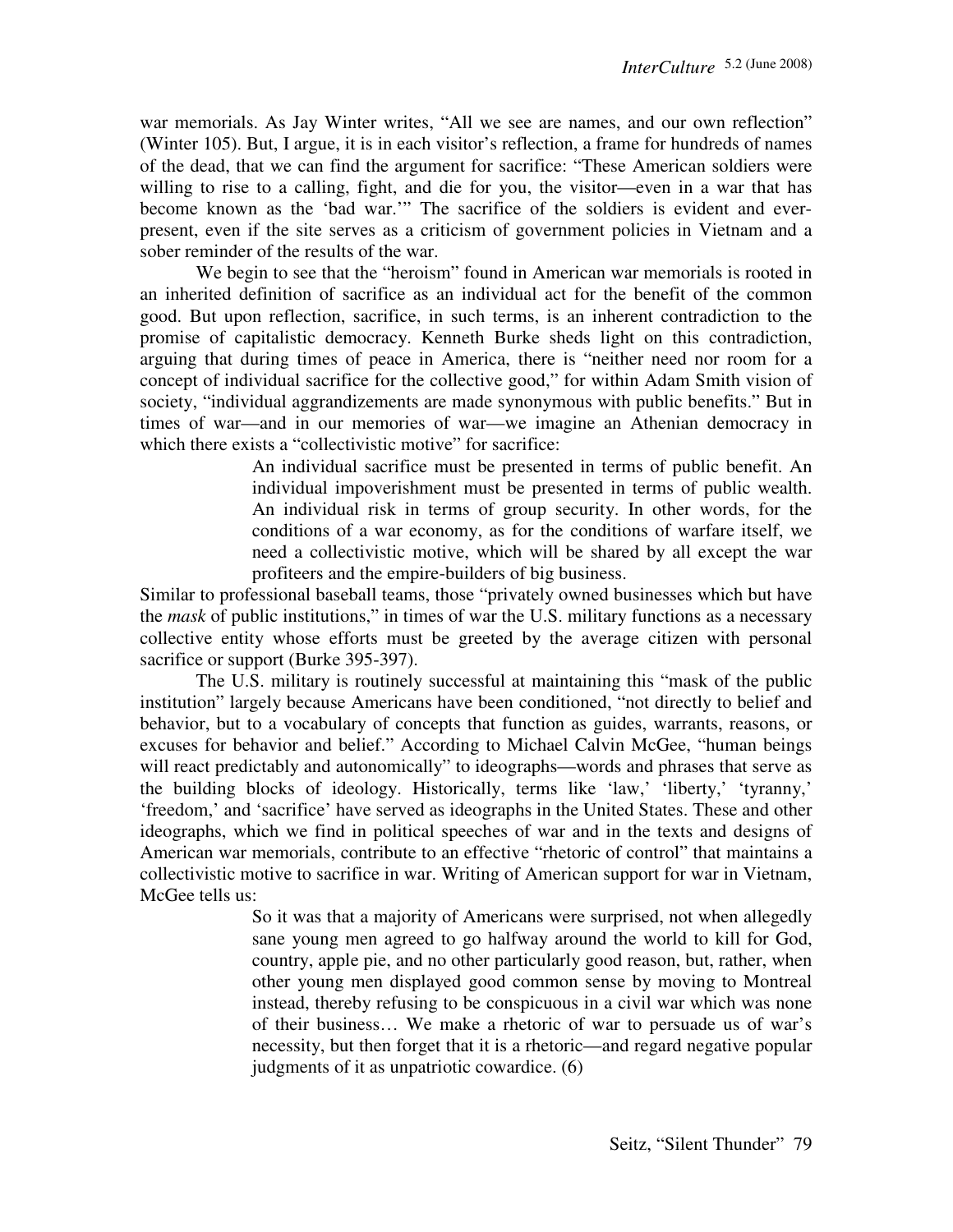war memorials. As Jay Winter writes, "All we see are names, and our own reflection" (Winter 105). But, I argue, it is in each visitor's reflection, a frame for hundreds of names of the dead, that we can find the argument for sacrifice: "These American soldiers were willing to rise to a calling, fight, and die for you, the visitor—even in a war that has become known as the 'bad war.'" The sacrifice of the soldiers is evident and everpresent, even if the site serves as a criticism of government policies in Vietnam and a sober reminder of the results of the war.

 We begin to see that the "heroism" found in American war memorials is rooted in an inherited definition of sacrifice as an individual act for the benefit of the common good. But upon reflection, sacrifice, in such terms, is an inherent contradiction to the promise of capitalistic democracy. Kenneth Burke sheds light on this contradiction, arguing that during times of peace in America, there is "neither need nor room for a concept of individual sacrifice for the collective good," for within Adam Smith vision of society, "individual aggrandizements are made synonymous with public benefits." But in times of war—and in our memories of war—we imagine an Athenian democracy in which there exists a "collectivistic motive" for sacrifice:

> An individual sacrifice must be presented in terms of public benefit. An individual impoverishment must be presented in terms of public wealth. An individual risk in terms of group security. In other words, for the conditions of a war economy, as for the conditions of warfare itself, we need a collectivistic motive, which will be shared by all except the war profiteers and the empire-builders of big business.

Similar to professional baseball teams, those "privately owned businesses which but have the *mask* of public institutions," in times of war the U.S. military functions as a necessary collective entity whose efforts must be greeted by the average citizen with personal sacrifice or support (Burke 395-397).

 The U.S. military is routinely successful at maintaining this "mask of the public institution" largely because Americans have been conditioned, "not directly to belief and behavior, but to a vocabulary of concepts that function as guides, warrants, reasons, or excuses for behavior and belief." According to Michael Calvin McGee, "human beings will react predictably and autonomically" to ideographs—words and phrases that serve as the building blocks of ideology. Historically, terms like 'law,' 'liberty,' 'tyranny,' 'freedom,' and 'sacrifice' have served as ideographs in the United States. These and other ideographs, which we find in political speeches of war and in the texts and designs of American war memorials, contribute to an effective "rhetoric of control" that maintains a collectivistic motive to sacrifice in war. Writing of American support for war in Vietnam, McGee tells us:

> So it was that a majority of Americans were surprised, not when allegedly sane young men agreed to go halfway around the world to kill for God, country, apple pie, and no other particularly good reason, but, rather, when other young men displayed good common sense by moving to Montreal instead, thereby refusing to be conspicuous in a civil war which was none of their business… We make a rhetoric of war to persuade us of war's necessity, but then forget that it is a rhetoric—and regard negative popular judgments of it as unpatriotic cowardice. (6)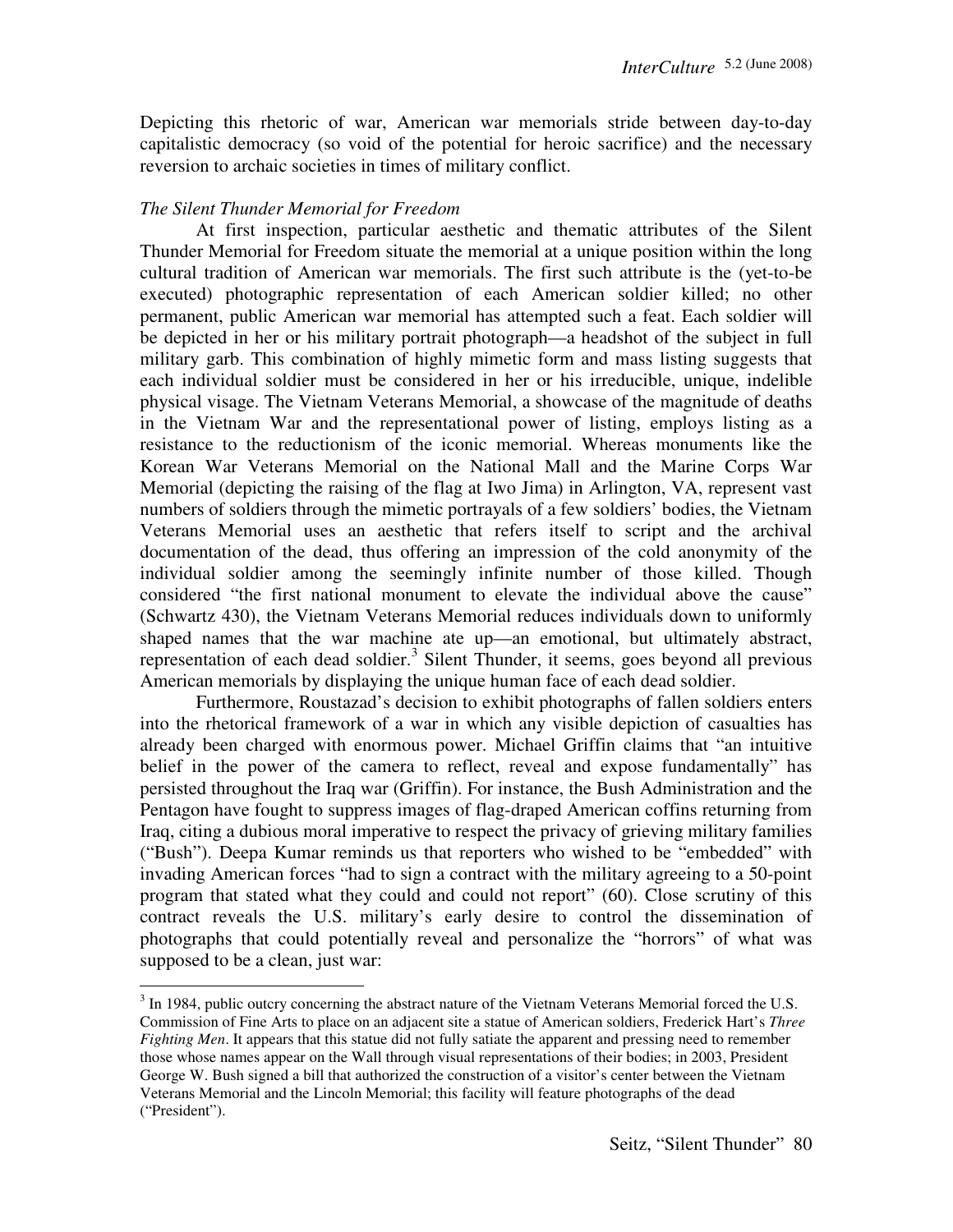Depicting this rhetoric of war, American war memorials stride between day-to-day capitalistic democracy (so void of the potential for heroic sacrifice) and the necessary reversion to archaic societies in times of military conflict.

# *The Silent Thunder Memorial for Freedom*

 $\overline{a}$ 

 At first inspection, particular aesthetic and thematic attributes of the Silent Thunder Memorial for Freedom situate the memorial at a unique position within the long cultural tradition of American war memorials. The first such attribute is the (yet-to-be executed) photographic representation of each American soldier killed; no other permanent, public American war memorial has attempted such a feat. Each soldier will be depicted in her or his military portrait photograph—a headshot of the subject in full military garb. This combination of highly mimetic form and mass listing suggests that each individual soldier must be considered in her or his irreducible, unique, indelible physical visage. The Vietnam Veterans Memorial, a showcase of the magnitude of deaths in the Vietnam War and the representational power of listing, employs listing as a resistance to the reductionism of the iconic memorial. Whereas monuments like the Korean War Veterans Memorial on the National Mall and the Marine Corps War Memorial (depicting the raising of the flag at Iwo Jima) in Arlington, VA, represent vast numbers of soldiers through the mimetic portrayals of a few soldiers' bodies, the Vietnam Veterans Memorial uses an aesthetic that refers itself to script and the archival documentation of the dead, thus offering an impression of the cold anonymity of the individual soldier among the seemingly infinite number of those killed. Though considered "the first national monument to elevate the individual above the cause" (Schwartz 430), the Vietnam Veterans Memorial reduces individuals down to uniformly shaped names that the war machine ate up—an emotional, but ultimately abstract, representation of each dead soldier.<sup>3</sup> Silent Thunder, it seems, goes beyond all previous American memorials by displaying the unique human face of each dead soldier.

 Furthermore, Roustazad's decision to exhibit photographs of fallen soldiers enters into the rhetorical framework of a war in which any visible depiction of casualties has already been charged with enormous power. Michael Griffin claims that "an intuitive belief in the power of the camera to reflect, reveal and expose fundamentally" has persisted throughout the Iraq war (Griffin). For instance, the Bush Administration and the Pentagon have fought to suppress images of flag-draped American coffins returning from Iraq, citing a dubious moral imperative to respect the privacy of grieving military families ("Bush"). Deepa Kumar reminds us that reporters who wished to be "embedded" with invading American forces "had to sign a contract with the military agreeing to a 50-point program that stated what they could and could not report" (60). Close scrutiny of this contract reveals the U.S. military's early desire to control the dissemination of photographs that could potentially reveal and personalize the "horrors" of what was supposed to be a clean, just war:

 $3$  In 1984, public outcry concerning the abstract nature of the Vietnam Veterans Memorial forced the U.S. Commission of Fine Arts to place on an adjacent site a statue of American soldiers, Frederick Hart's *Three Fighting Men*. It appears that this statue did not fully satiate the apparent and pressing need to remember those whose names appear on the Wall through visual representations of their bodies; in 2003, President George W. Bush signed a bill that authorized the construction of a visitor's center between the Vietnam Veterans Memorial and the Lincoln Memorial; this facility will feature photographs of the dead ("President").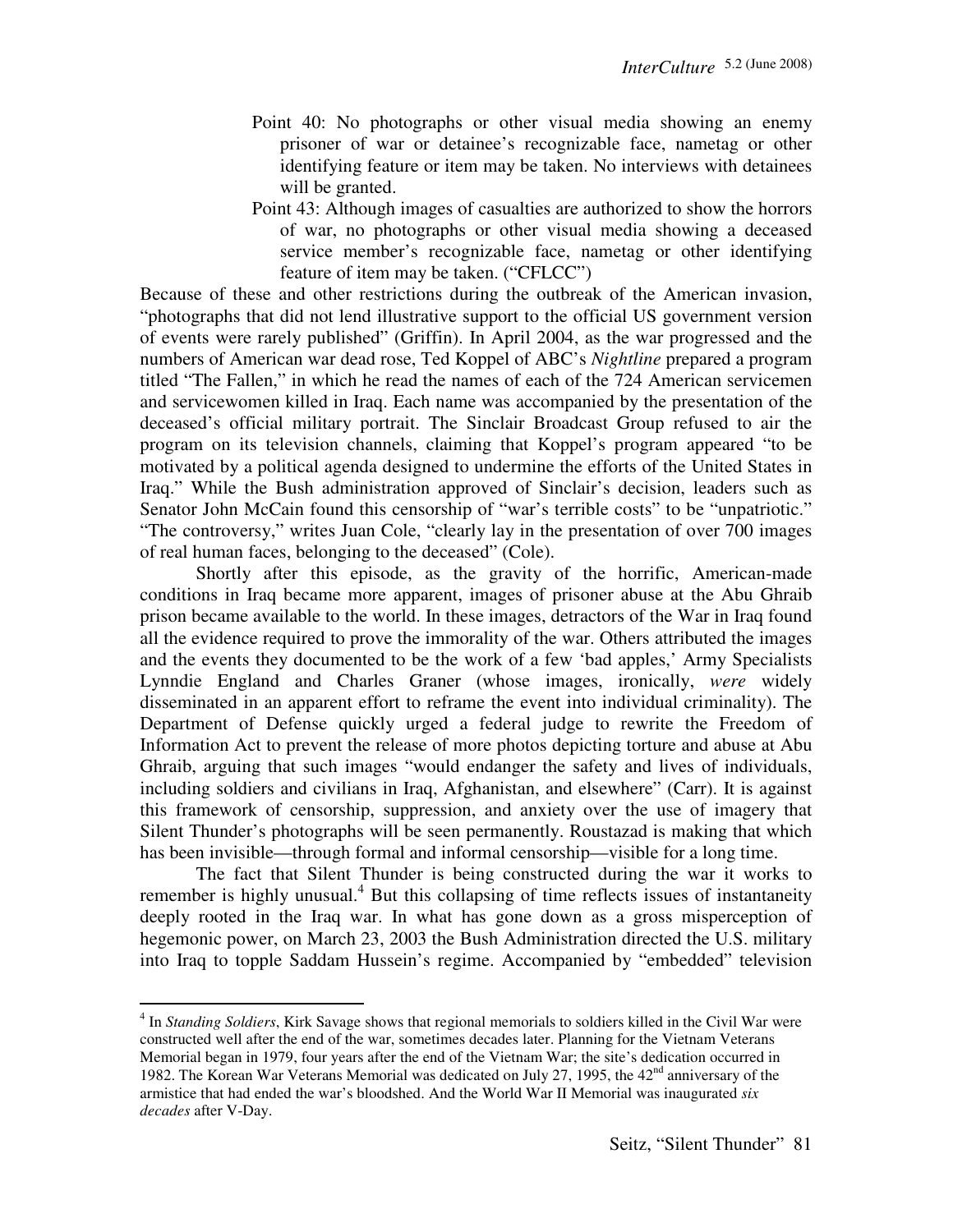- Point 40: No photographs or other visual media showing an enemy prisoner of war or detainee's recognizable face, nametag or other identifying feature or item may be taken. No interviews with detainees will be granted.
- Point 43: Although images of casualties are authorized to show the horrors of war, no photographs or other visual media showing a deceased service member's recognizable face, nametag or other identifying feature of item may be taken. ("CFLCC")

Because of these and other restrictions during the outbreak of the American invasion, "photographs that did not lend illustrative support to the official US government version of events were rarely published" (Griffin). In April 2004, as the war progressed and the numbers of American war dead rose, Ted Koppel of ABC's *Nightline* prepared a program titled "The Fallen," in which he read the names of each of the 724 American servicemen and servicewomen killed in Iraq. Each name was accompanied by the presentation of the deceased's official military portrait. The Sinclair Broadcast Group refused to air the program on its television channels, claiming that Koppel's program appeared "to be motivated by a political agenda designed to undermine the efforts of the United States in Iraq." While the Bush administration approved of Sinclair's decision, leaders such as Senator John McCain found this censorship of "war's terrible costs" to be "unpatriotic." "The controversy," writes Juan Cole, "clearly lay in the presentation of over 700 images of real human faces, belonging to the deceased" (Cole).

 Shortly after this episode, as the gravity of the horrific, American-made conditions in Iraq became more apparent, images of prisoner abuse at the Abu Ghraib prison became available to the world. In these images, detractors of the War in Iraq found all the evidence required to prove the immorality of the war. Others attributed the images and the events they documented to be the work of a few 'bad apples,' Army Specialists Lynndie England and Charles Graner (whose images, ironically, *were* widely disseminated in an apparent effort to reframe the event into individual criminality). The Department of Defense quickly urged a federal judge to rewrite the Freedom of Information Act to prevent the release of more photos depicting torture and abuse at Abu Ghraib, arguing that such images "would endanger the safety and lives of individuals, including soldiers and civilians in Iraq, Afghanistan, and elsewhere" (Carr). It is against this framework of censorship, suppression, and anxiety over the use of imagery that Silent Thunder's photographs will be seen permanently. Roustazad is making that which has been invisible—through formal and informal censorship—visible for a long time.

 The fact that Silent Thunder is being constructed during the war it works to remember is highly unusual.<sup>4</sup> But this collapsing of time reflects issues of instantaneity deeply rooted in the Iraq war. In what has gone down as a gross misperception of hegemonic power, on March 23, 2003 the Bush Administration directed the U.S. military into Iraq to topple Saddam Hussein's regime. Accompanied by "embedded" television

<sup>&</sup>lt;sup>4</sup> In *Standing Soldiers*, Kirk Savage shows that regional memorials to soldiers killed in the Civil War were constructed well after the end of the war, sometimes decades later. Planning for the Vietnam Veterans Memorial began in 1979, four years after the end of the Vietnam War; the site's dedication occurred in 1982. The Korean War Veterans Memorial was dedicated on July 27, 1995, the 42<sup>nd</sup> anniversary of the armistice that had ended the war's bloodshed. And the World War II Memorial was inaugurated *six decades* after V-Day.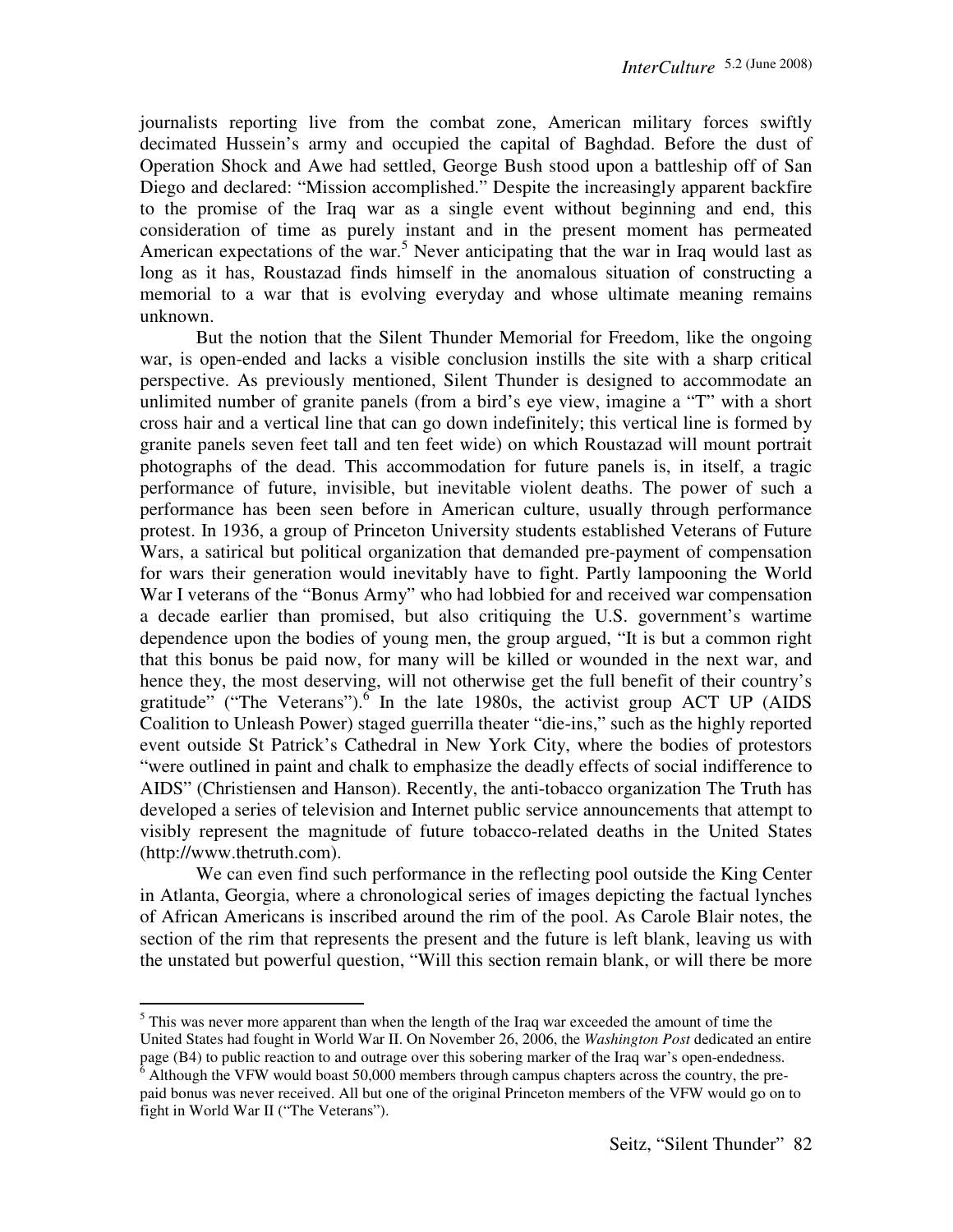journalists reporting live from the combat zone, American military forces swiftly decimated Hussein's army and occupied the capital of Baghdad. Before the dust of Operation Shock and Awe had settled, George Bush stood upon a battleship off of San Diego and declared: "Mission accomplished." Despite the increasingly apparent backfire to the promise of the Iraq war as a single event without beginning and end, this consideration of time as purely instant and in the present moment has permeated American expectations of the war.<sup>5</sup> Never anticipating that the war in Iraq would last as long as it has, Roustazad finds himself in the anomalous situation of constructing a memorial to a war that is evolving everyday and whose ultimate meaning remains unknown.

 But the notion that the Silent Thunder Memorial for Freedom, like the ongoing war, is open-ended and lacks a visible conclusion instills the site with a sharp critical perspective. As previously mentioned, Silent Thunder is designed to accommodate an unlimited number of granite panels (from a bird's eye view, imagine a "T" with a short cross hair and a vertical line that can go down indefinitely; this vertical line is formed by granite panels seven feet tall and ten feet wide) on which Roustazad will mount portrait photographs of the dead. This accommodation for future panels is, in itself, a tragic performance of future, invisible, but inevitable violent deaths. The power of such a performance has been seen before in American culture, usually through performance protest. In 1936, a group of Princeton University students established Veterans of Future Wars, a satirical but political organization that demanded pre-payment of compensation for wars their generation would inevitably have to fight. Partly lampooning the World War I veterans of the "Bonus Army" who had lobbied for and received war compensation a decade earlier than promised, but also critiquing the U.S. government's wartime dependence upon the bodies of young men, the group argued, "It is but a common right that this bonus be paid now, for many will be killed or wounded in the next war, and hence they, the most deserving, will not otherwise get the full benefit of their country's gratitude" ("The Veterans").  $\overline{6}$  In the late 1980s, the activist group ACT UP (AIDS Coalition to Unleash Power) staged guerrilla theater "die-ins," such as the highly reported event outside St Patrick's Cathedral in New York City, where the bodies of protestors "were outlined in paint and chalk to emphasize the deadly effects of social indifference to AIDS" (Christiensen and Hanson). Recently, the anti-tobacco organization The Truth has developed a series of television and Internet public service announcements that attempt to visibly represent the magnitude of future tobacco-related deaths in the United States (http://www.thetruth.com).

 We can even find such performance in the reflecting pool outside the King Center in Atlanta, Georgia, where a chronological series of images depicting the factual lynches of African Americans is inscribed around the rim of the pool. As Carole Blair notes, the section of the rim that represents the present and the future is left blank, leaving us with the unstated but powerful question, "Will this section remain blank, or will there be more

 $<sup>5</sup>$  This was never more apparent than when the length of the Iraq war exceeded the amount of time the</sup> United States had fought in World War II. On November 26, 2006, the *Washington Post* dedicated an entire page (B4) to public reaction to and outrage over this sobering marker of the Iraq war's open-endedness.<br><sup>6</sup> Although the VFW would boast 50,000 members through campus chapters across the country, the pre-

paid bonus was never received. All but one of the original Princeton members of the VFW would go on to fight in World War II ("The Veterans").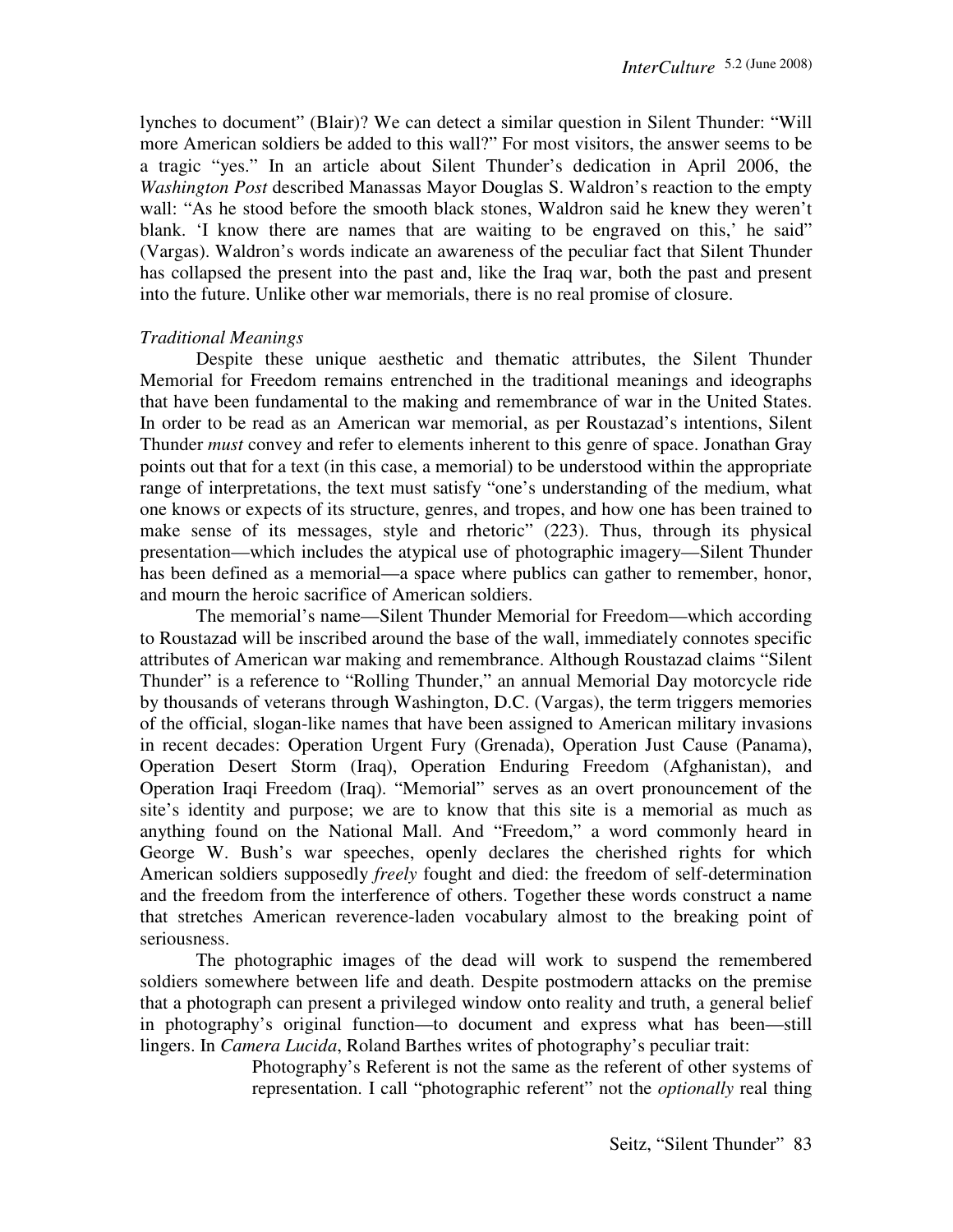lynches to document" (Blair)? We can detect a similar question in Silent Thunder: "Will more American soldiers be added to this wall?" For most visitors, the answer seems to be a tragic "yes." In an article about Silent Thunder's dedication in April 2006, the *Washington Post* described Manassas Mayor Douglas S. Waldron's reaction to the empty wall: "As he stood before the smooth black stones, Waldron said he knew they weren't blank. 'I know there are names that are waiting to be engraved on this,' he said" (Vargas). Waldron's words indicate an awareness of the peculiar fact that Silent Thunder has collapsed the present into the past and, like the Iraq war, both the past and present into the future. Unlike other war memorials, there is no real promise of closure.

#### *Traditional Meanings*

 Despite these unique aesthetic and thematic attributes, the Silent Thunder Memorial for Freedom remains entrenched in the traditional meanings and ideographs that have been fundamental to the making and remembrance of war in the United States. In order to be read as an American war memorial, as per Roustazad's intentions, Silent Thunder *must* convey and refer to elements inherent to this genre of space. Jonathan Gray points out that for a text (in this case, a memorial) to be understood within the appropriate range of interpretations, the text must satisfy "one's understanding of the medium, what one knows or expects of its structure, genres, and tropes, and how one has been trained to make sense of its messages, style and rhetoric" (223). Thus, through its physical presentation—which includes the atypical use of photographic imagery—Silent Thunder has been defined as a memorial—a space where publics can gather to remember, honor, and mourn the heroic sacrifice of American soldiers.

 The memorial's name—Silent Thunder Memorial for Freedom—which according to Roustazad will be inscribed around the base of the wall, immediately connotes specific attributes of American war making and remembrance. Although Roustazad claims "Silent Thunder" is a reference to "Rolling Thunder," an annual Memorial Day motorcycle ride by thousands of veterans through Washington, D.C. (Vargas), the term triggers memories of the official, slogan-like names that have been assigned to American military invasions in recent decades: Operation Urgent Fury (Grenada), Operation Just Cause (Panama), Operation Desert Storm (Iraq), Operation Enduring Freedom (Afghanistan), and Operation Iraqi Freedom (Iraq). "Memorial" serves as an overt pronouncement of the site's identity and purpose; we are to know that this site is a memorial as much as anything found on the National Mall. And "Freedom," a word commonly heard in George W. Bush's war speeches, openly declares the cherished rights for which American soldiers supposedly *freely* fought and died: the freedom of self-determination and the freedom from the interference of others. Together these words construct a name that stretches American reverence-laden vocabulary almost to the breaking point of seriousness.

 The photographic images of the dead will work to suspend the remembered soldiers somewhere between life and death. Despite postmodern attacks on the premise that a photograph can present a privileged window onto reality and truth, a general belief in photography's original function—to document and express what has been—still lingers. In *Camera Lucida*, Roland Barthes writes of photography's peculiar trait:

> Photography's Referent is not the same as the referent of other systems of representation. I call "photographic referent" not the *optionally* real thing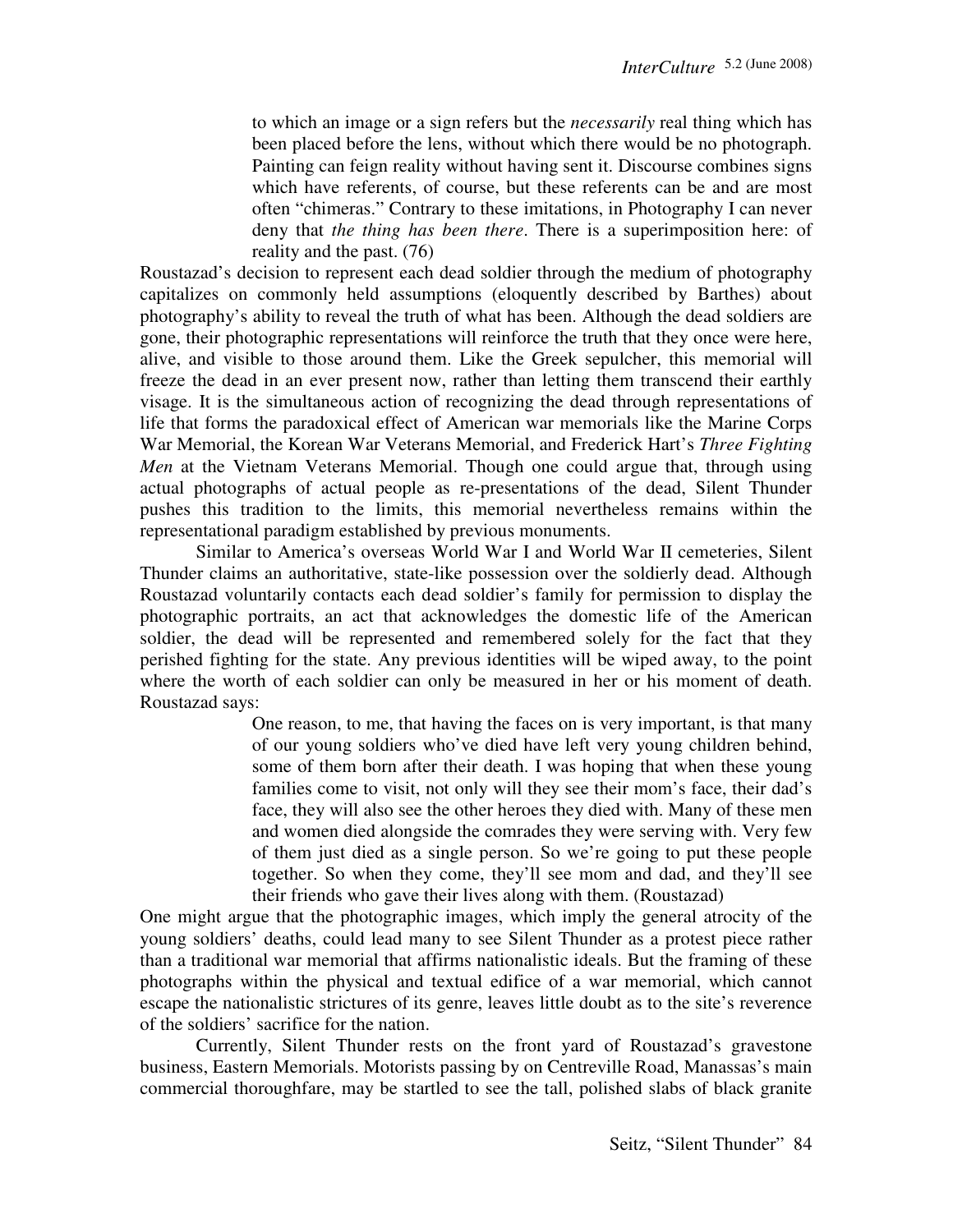to which an image or a sign refers but the *necessarily* real thing which has been placed before the lens, without which there would be no photograph. Painting can feign reality without having sent it. Discourse combines signs which have referents, of course, but these referents can be and are most often "chimeras." Contrary to these imitations, in Photography I can never deny that *the thing has been there*. There is a superimposition here: of reality and the past. (76)

Roustazad's decision to represent each dead soldier through the medium of photography capitalizes on commonly held assumptions (eloquently described by Barthes) about photography's ability to reveal the truth of what has been. Although the dead soldiers are gone, their photographic representations will reinforce the truth that they once were here, alive, and visible to those around them. Like the Greek sepulcher, this memorial will freeze the dead in an ever present now, rather than letting them transcend their earthly visage. It is the simultaneous action of recognizing the dead through representations of life that forms the paradoxical effect of American war memorials like the Marine Corps War Memorial, the Korean War Veterans Memorial, and Frederick Hart's *Three Fighting Men* at the Vietnam Veterans Memorial. Though one could argue that, through using actual photographs of actual people as re-presentations of the dead, Silent Thunder pushes this tradition to the limits, this memorial nevertheless remains within the representational paradigm established by previous monuments.

 Similar to America's overseas World War I and World War II cemeteries, Silent Thunder claims an authoritative, state-like possession over the soldierly dead. Although Roustazad voluntarily contacts each dead soldier's family for permission to display the photographic portraits, an act that acknowledges the domestic life of the American soldier, the dead will be represented and remembered solely for the fact that they perished fighting for the state. Any previous identities will be wiped away, to the point where the worth of each soldier can only be measured in her or his moment of death. Roustazad says:

> One reason, to me, that having the faces on is very important, is that many of our young soldiers who've died have left very young children behind, some of them born after their death. I was hoping that when these young families come to visit, not only will they see their mom's face, their dad's face, they will also see the other heroes they died with. Many of these men and women died alongside the comrades they were serving with. Very few of them just died as a single person. So we're going to put these people together. So when they come, they'll see mom and dad, and they'll see their friends who gave their lives along with them. (Roustazad)

One might argue that the photographic images, which imply the general atrocity of the young soldiers' deaths, could lead many to see Silent Thunder as a protest piece rather than a traditional war memorial that affirms nationalistic ideals. But the framing of these photographs within the physical and textual edifice of a war memorial, which cannot escape the nationalistic strictures of its genre, leaves little doubt as to the site's reverence of the soldiers' sacrifice for the nation.

 Currently, Silent Thunder rests on the front yard of Roustazad's gravestone business, Eastern Memorials. Motorists passing by on Centreville Road, Manassas's main commercial thoroughfare, may be startled to see the tall, polished slabs of black granite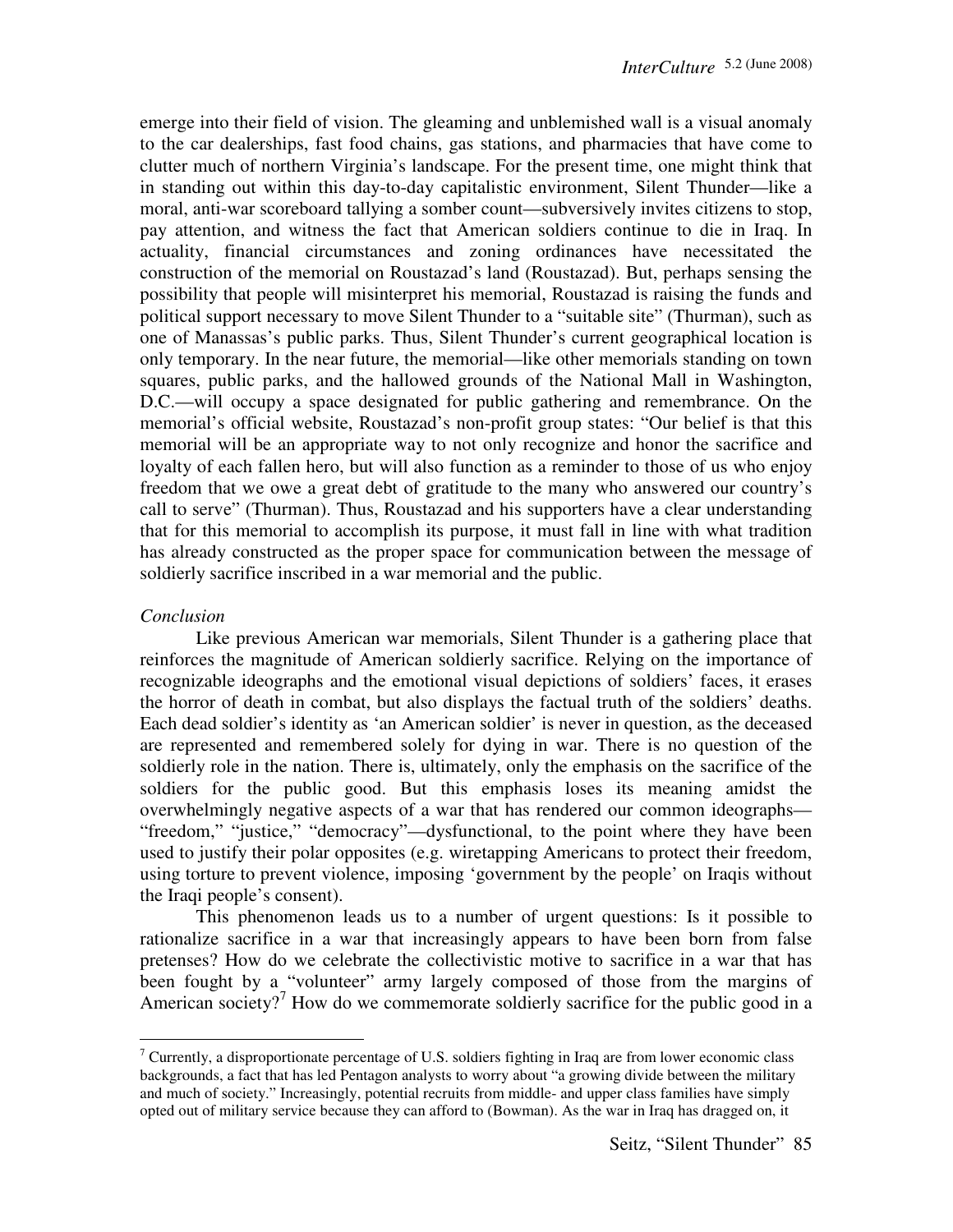emerge into their field of vision. The gleaming and unblemished wall is a visual anomaly to the car dealerships, fast food chains, gas stations, and pharmacies that have come to clutter much of northern Virginia's landscape. For the present time, one might think that in standing out within this day-to-day capitalistic environment, Silent Thunder—like a moral, anti-war scoreboard tallying a somber count—subversively invites citizens to stop, pay attention, and witness the fact that American soldiers continue to die in Iraq. In actuality, financial circumstances and zoning ordinances have necessitated the construction of the memorial on Roustazad's land (Roustazad). But, perhaps sensing the possibility that people will misinterpret his memorial, Roustazad is raising the funds and political support necessary to move Silent Thunder to a "suitable site" (Thurman), such as one of Manassas's public parks. Thus, Silent Thunder's current geographical location is only temporary. In the near future, the memorial—like other memorials standing on town squares, public parks, and the hallowed grounds of the National Mall in Washington, D.C.—will occupy a space designated for public gathering and remembrance. On the memorial's official website, Roustazad's non-profit group states: "Our belief is that this memorial will be an appropriate way to not only recognize and honor the sacrifice and loyalty of each fallen hero, but will also function as a reminder to those of us who enjoy freedom that we owe a great debt of gratitude to the many who answered our country's call to serve" (Thurman). Thus, Roustazad and his supporters have a clear understanding that for this memorial to accomplish its purpose, it must fall in line with what tradition has already constructed as the proper space for communication between the message of soldierly sacrifice inscribed in a war memorial and the public.

### *Conclusion*

 $\overline{a}$ 

 Like previous American war memorials, Silent Thunder is a gathering place that reinforces the magnitude of American soldierly sacrifice. Relying on the importance of recognizable ideographs and the emotional visual depictions of soldiers' faces, it erases the horror of death in combat, but also displays the factual truth of the soldiers' deaths. Each dead soldier's identity as 'an American soldier' is never in question, as the deceased are represented and remembered solely for dying in war. There is no question of the soldierly role in the nation. There is, ultimately, only the emphasis on the sacrifice of the soldiers for the public good. But this emphasis loses its meaning amidst the overwhelmingly negative aspects of a war that has rendered our common ideographs— "freedom," "justice," "democracy"—dysfunctional, to the point where they have been used to justify their polar opposites (e.g. wiretapping Americans to protect their freedom, using torture to prevent violence, imposing 'government by the people' on Iraqis without the Iraqi people's consent).

 This phenomenon leads us to a number of urgent questions: Is it possible to rationalize sacrifice in a war that increasingly appears to have been born from false pretenses? How do we celebrate the collectivistic motive to sacrifice in a war that has been fought by a "volunteer" army largely composed of those from the margins of American society?<sup>7</sup> How do we commemorate soldierly sacrifice for the public good in a

<sup>&</sup>lt;sup>7</sup> Currently, a disproportionate percentage of U.S. soldiers fighting in Iraq are from lower economic class backgrounds, a fact that has led Pentagon analysts to worry about "a growing divide between the military and much of society." Increasingly, potential recruits from middle- and upper class families have simply opted out of military service because they can afford to (Bowman). As the war in Iraq has dragged on, it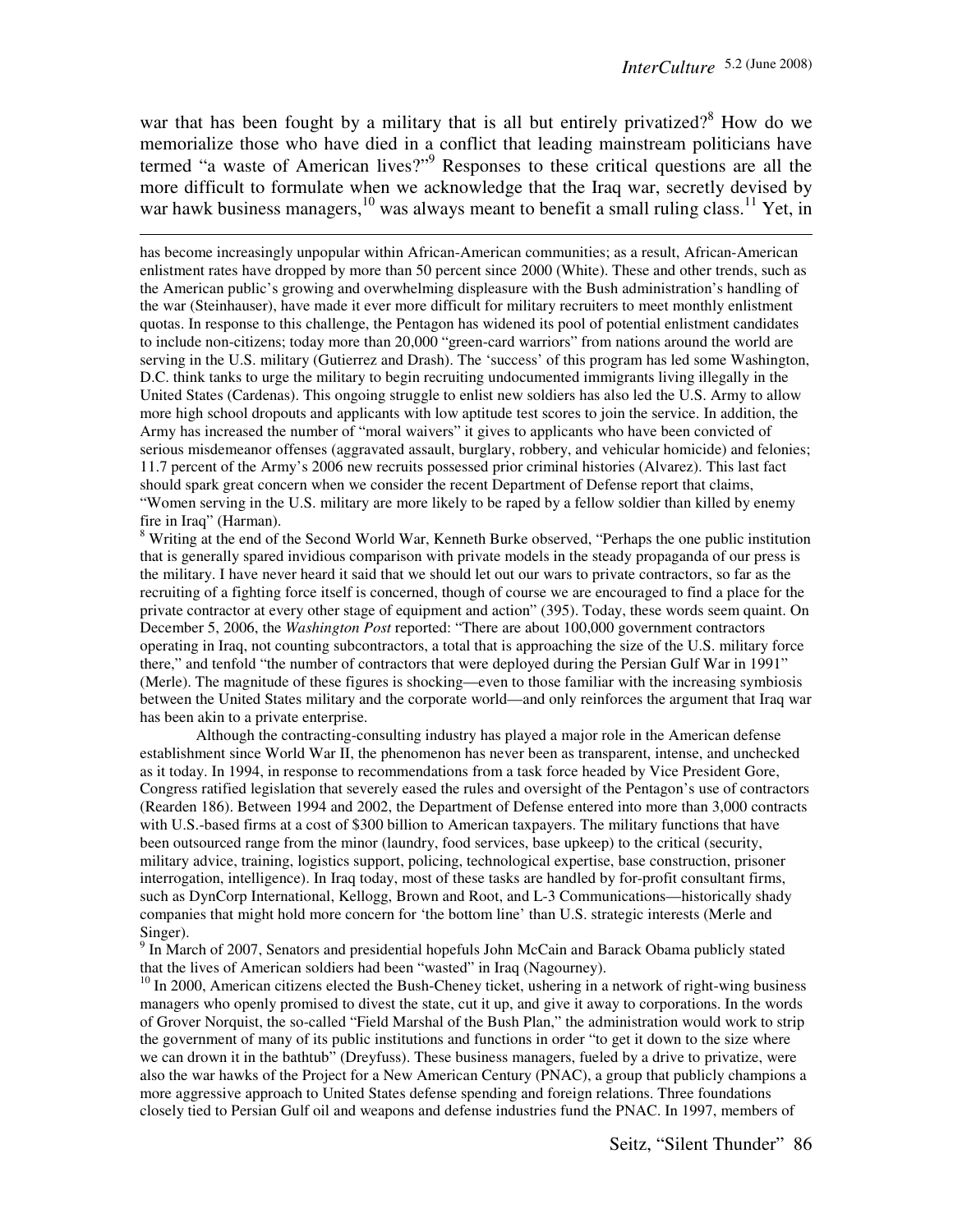war that has been fought by a military that is all but entirely privatized?<sup>8</sup> How do we memorialize those who have died in a conflict that leading mainstream politicians have termed "a waste of American lives?"<sup>9</sup> Responses to these critical questions are all the more difficult to formulate when we acknowledge that the Iraq war, secretly devised by war hawk business managers,  $^{10}$  was always meant to benefit a small ruling class.<sup>11</sup> Yet, in

l

has become increasingly unpopular within African-American communities; as a result, African-American enlistment rates have dropped by more than 50 percent since 2000 (White). These and other trends, such as the American public's growing and overwhelming displeasure with the Bush administration's handling of the war (Steinhauser), have made it ever more difficult for military recruiters to meet monthly enlistment quotas. In response to this challenge, the Pentagon has widened its pool of potential enlistment candidates to include non-citizens; today more than 20,000 "green-card warriors" from nations around the world are serving in the U.S. military (Gutierrez and Drash). The 'success' of this program has led some Washington, D.C. think tanks to urge the military to begin recruiting undocumented immigrants living illegally in the United States (Cardenas). This ongoing struggle to enlist new soldiers has also led the U.S. Army to allow more high school dropouts and applicants with low aptitude test scores to join the service. In addition, the Army has increased the number of "moral waivers" it gives to applicants who have been convicted of serious misdemeanor offenses (aggravated assault, burglary, robbery, and vehicular homicide) and felonies; 11.7 percent of the Army's 2006 new recruits possessed prior criminal histories (Alvarez). This last fact should spark great concern when we consider the recent Department of Defense report that claims, "Women serving in the U.S. military are more likely to be raped by a fellow soldier than killed by enemy fire in Iraq" (Harman).

<sup>8</sup> Writing at the end of the Second World War, Kenneth Burke observed, "Perhaps the one public institution that is generally spared invidious comparison with private models in the steady propaganda of our press is the military. I have never heard it said that we should let out our wars to private contractors, so far as the recruiting of a fighting force itself is concerned, though of course we are encouraged to find a place for the private contractor at every other stage of equipment and action" (395). Today, these words seem quaint. On December 5, 2006, the *Washington Post* reported: "There are about 100,000 government contractors operating in Iraq, not counting subcontractors, a total that is approaching the size of the U.S. military force there," and tenfold "the number of contractors that were deployed during the Persian Gulf War in 1991" (Merle). The magnitude of these figures is shocking—even to those familiar with the increasing symbiosis between the United States military and the corporate world—and only reinforces the argument that Iraq war has been akin to a private enterprise.

Although the contracting-consulting industry has played a major role in the American defense establishment since World War II, the phenomenon has never been as transparent, intense, and unchecked as it today. In 1994, in response to recommendations from a task force headed by Vice President Gore, Congress ratified legislation that severely eased the rules and oversight of the Pentagon's use of contractors (Rearden 186). Between 1994 and 2002, the Department of Defense entered into more than 3,000 contracts with U.S.-based firms at a cost of \$300 billion to American taxpayers. The military functions that have been outsourced range from the minor (laundry, food services, base upkeep) to the critical (security, military advice, training, logistics support, policing, technological expertise, base construction, prisoner interrogation, intelligence). In Iraq today, most of these tasks are handled by for-profit consultant firms, such as DynCorp International, Kellogg, Brown and Root, and L-3 Communications—historically shady companies that might hold more concern for 'the bottom line' than U.S. strategic interests (Merle and Singer).

<sup>9</sup> In March of 2007, Senators and presidential hopefuls John McCain and Barack Obama publicly stated that the lives of American soldiers had been "wasted" in Iraq (Nagourney).

<sup>10</sup> In 2000, American citizens elected the Bush-Cheney ticket, ushering in a network of right-wing business managers who openly promised to divest the state, cut it up, and give it away to corporations. In the words of Grover Norquist, the so-called "Field Marshal of the Bush Plan," the administration would work to strip the government of many of its public institutions and functions in order "to get it down to the size where we can drown it in the bathtub" (Dreyfuss). These business managers, fueled by a drive to privatize, were also the war hawks of the Project for a New American Century (PNAC), a group that publicly champions a more aggressive approach to United States defense spending and foreign relations. Three foundations closely tied to Persian Gulf oil and weapons and defense industries fund the PNAC. In 1997, members of

Seitz, "Silent Thunder" 86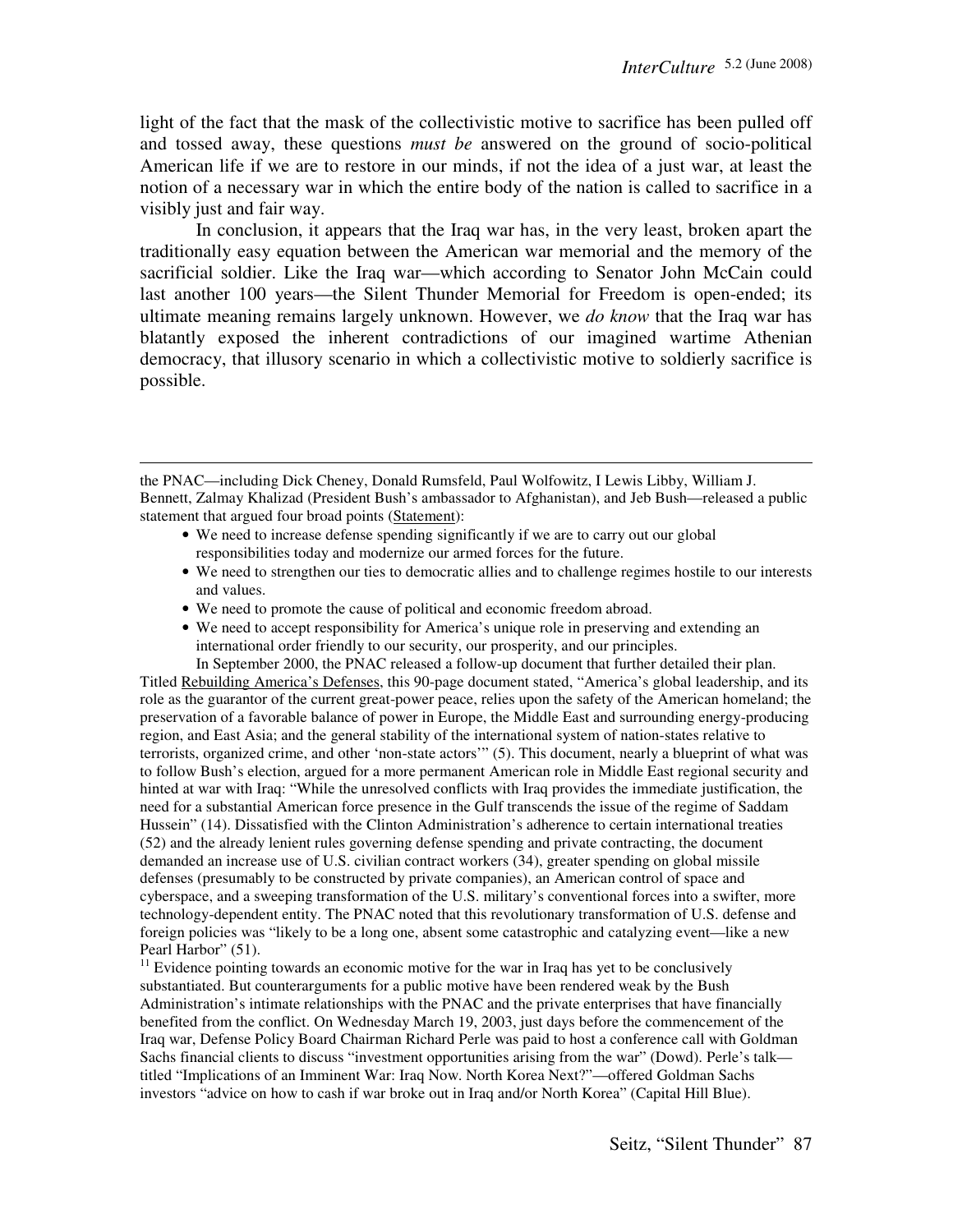light of the fact that the mask of the collectivistic motive to sacrifice has been pulled off and tossed away, these questions *must be* answered on the ground of socio-political American life if we are to restore in our minds, if not the idea of a just war, at least the notion of a necessary war in which the entire body of the nation is called to sacrifice in a visibly just and fair way.

 In conclusion, it appears that the Iraq war has, in the very least, broken apart the traditionally easy equation between the American war memorial and the memory of the sacrificial soldier. Like the Iraq war—which according to Senator John McCain could last another 100 years—the Silent Thunder Memorial for Freedom is open-ended; its ultimate meaning remains largely unknown. However, we *do know* that the Iraq war has blatantly exposed the inherent contradictions of our imagined wartime Athenian democracy, that illusory scenario in which a collectivistic motive to soldierly sacrifice is possible.

- We need to increase defense spending significantly if we are to carry out our global responsibilities today and modernize our armed forces for the future.
- We need to strengthen our ties to democratic allies and to challenge regimes hostile to our interests and values.
- We need to promote the cause of political and economic freedom abroad.

 $\overline{a}$ 

• We need to accept responsibility for America's unique role in preserving and extending an international order friendly to our security, our prosperity, and our principles.

In September 2000, the PNAC released a follow-up document that further detailed their plan. Titled Rebuilding America's Defenses, this 90-page document stated, "America's global leadership, and its role as the guarantor of the current great-power peace, relies upon the safety of the American homeland; the preservation of a favorable balance of power in Europe, the Middle East and surrounding energy-producing region, and East Asia; and the general stability of the international system of nation-states relative to terrorists, organized crime, and other 'non-state actors'" (5). This document, nearly a blueprint of what was to follow Bush's election, argued for a more permanent American role in Middle East regional security and hinted at war with Iraq: "While the unresolved conflicts with Iraq provides the immediate justification, the need for a substantial American force presence in the Gulf transcends the issue of the regime of Saddam Hussein" (14). Dissatisfied with the Clinton Administration's adherence to certain international treaties (52) and the already lenient rules governing defense spending and private contracting, the document demanded an increase use of U.S. civilian contract workers (34), greater spending on global missile defenses (presumably to be constructed by private companies), an American control of space and cyberspace, and a sweeping transformation of the U.S. military's conventional forces into a swifter, more technology-dependent entity. The PNAC noted that this revolutionary transformation of U.S. defense and foreign policies was "likely to be a long one, absent some catastrophic and catalyzing event—like a new Pearl Harbor" (51).

 $11$  Evidence pointing towards an economic motive for the war in Iraq has yet to be conclusively substantiated. But counterarguments for a public motive have been rendered weak by the Bush Administration's intimate relationships with the PNAC and the private enterprises that have financially benefited from the conflict. On Wednesday March 19, 2003, just days before the commencement of the Iraq war, Defense Policy Board Chairman Richard Perle was paid to host a conference call with Goldman Sachs financial clients to discuss "investment opportunities arising from the war" (Dowd). Perle's talk titled "Implications of an Imminent War: Iraq Now. North Korea Next?"—offered Goldman Sachs investors "advice on how to cash if war broke out in Iraq and/or North Korea" (Capital Hill Blue).

the PNAC—including Dick Cheney, Donald Rumsfeld, Paul Wolfowitz, I Lewis Libby, William J. Bennett, Zalmay Khalizad (President Bush's ambassador to Afghanistan), and Jeb Bush—released a public statement that argued four broad points (Statement):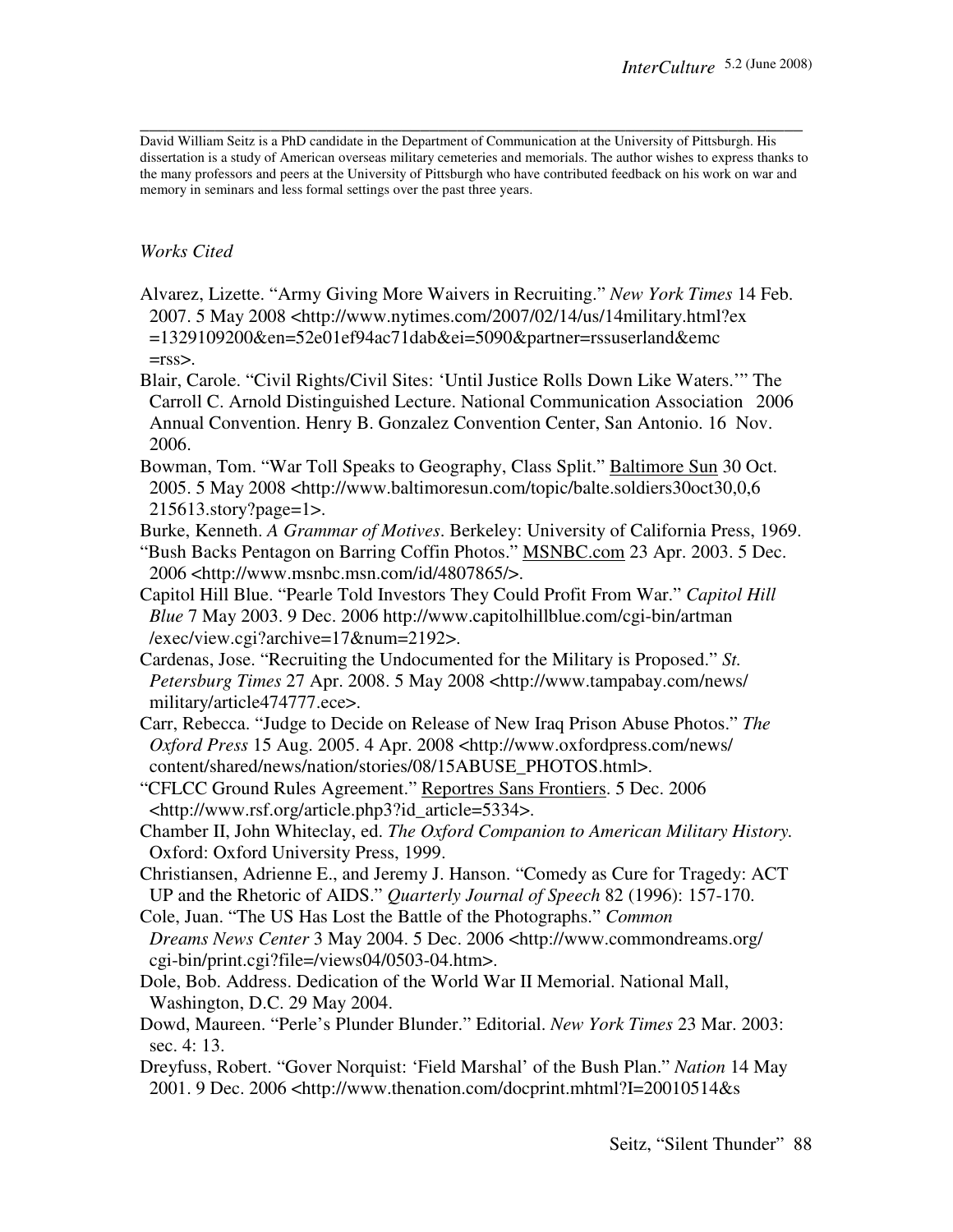**\_\_\_\_\_\_\_\_\_\_\_\_\_\_\_\_\_\_\_\_\_\_\_\_\_\_\_\_\_\_\_\_\_\_\_\_\_\_\_\_\_\_\_\_\_\_\_\_\_\_\_\_\_\_\_\_\_\_\_\_\_\_\_\_\_\_\_\_\_\_\_**  David William Seitz is a PhD candidate in the Department of Communication at the University of Pittsburgh. His dissertation is a study of American overseas military cemeteries and memorials. The author wishes to express thanks to the many professors and peers at the University of Pittsburgh who have contributed feedback on his work on war and memory in seminars and less formal settings over the past three years.

## *Works Cited*

- Alvarez, Lizette. "Army Giving More Waivers in Recruiting." *New York Times* 14 Feb. 2007. 5 May 2008 <http://www.nytimes.com/2007/02/14/us/14military.html?ex =1329109200&en=52e01ef94ac71dab&ei=5090&partner=rssuserland&emc  $=$ rss $>$ .
- Blair, Carole. "Civil Rights/Civil Sites: 'Until Justice Rolls Down Like Waters.'" The Carroll C. Arnold Distinguished Lecture. National Communication Association 2006 Annual Convention. Henry B. Gonzalez Convention Center, San Antonio. 16 Nov. 2006.
- Bowman, Tom. "War Toll Speaks to Geography, Class Split." Baltimore Sun 30 Oct. 2005. 5 May 2008 <http://www.baltimoresun.com/topic/balte.soldiers30oct30,0,6 215613.story?page=1>.
- Burke, Kenneth. *A Grammar of Motives*. Berkeley: University of California Press, 1969. "Bush Backs Pentagon on Barring Coffin Photos." MSNBC.com 23 Apr. 2003. 5 Dec. 2006 <http://www.msnbc.msn.com/id/4807865/>.
- Capitol Hill Blue. "Pearle Told Investors They Could Profit From War." *Capitol Hill Blue* 7 May 2003. 9 Dec. 2006 http://www.capitolhillblue.com/cgi-bin/artman /exec/view.cgi?archive=17&num=2192>.
- Cardenas, Jose. "Recruiting the Undocumented for the Military is Proposed." *St. Petersburg Times* 27 Apr. 2008. 5 May 2008 <http://www.tampabay.com/news/ military/article474777.ece>.
- Carr, Rebecca. "Judge to Decide on Release of New Iraq Prison Abuse Photos." *The Oxford Press* 15 Aug. 2005. 4 Apr. 2008 <http://www.oxfordpress.com/news/ content/shared/news/nation/stories/08/15ABUSE\_PHOTOS.html>.
- "CFLCC Ground Rules Agreement." Reportres Sans Frontiers. 5 Dec. 2006 <http://www.rsf.org/article.php3?id\_article=5334>.
- Chamber II, John Whiteclay, ed. *The Oxford Companion to American Military History.*  Oxford: Oxford University Press, 1999.
- Christiansen, Adrienne E., and Jeremy J. Hanson. "Comedy as Cure for Tragedy: ACT UP and the Rhetoric of AIDS." *Quarterly Journal of Speech* 82 (1996): 157-170.
- Cole, Juan. "The US Has Lost the Battle of the Photographs." *Common*
- *Dreams News Center* 3 May 2004. 5 Dec. 2006 <http://www.commondreams.org/ cgi-bin/print.cgi?file=/views04/0503-04.htm>.
- Dole, Bob. Address. Dedication of the World War II Memorial. National Mall, Washington, D.C. 29 May 2004.
- Dowd, Maureen. "Perle's Plunder Blunder." Editorial. *New York Times* 23 Mar. 2003: sec. 4: 13.
- Dreyfuss, Robert. "Gover Norquist: 'Field Marshal' of the Bush Plan." *Nation* 14 May 2001. 9 Dec. 2006 <http://www.thenation.com/docprint.mhtml?I=20010514&s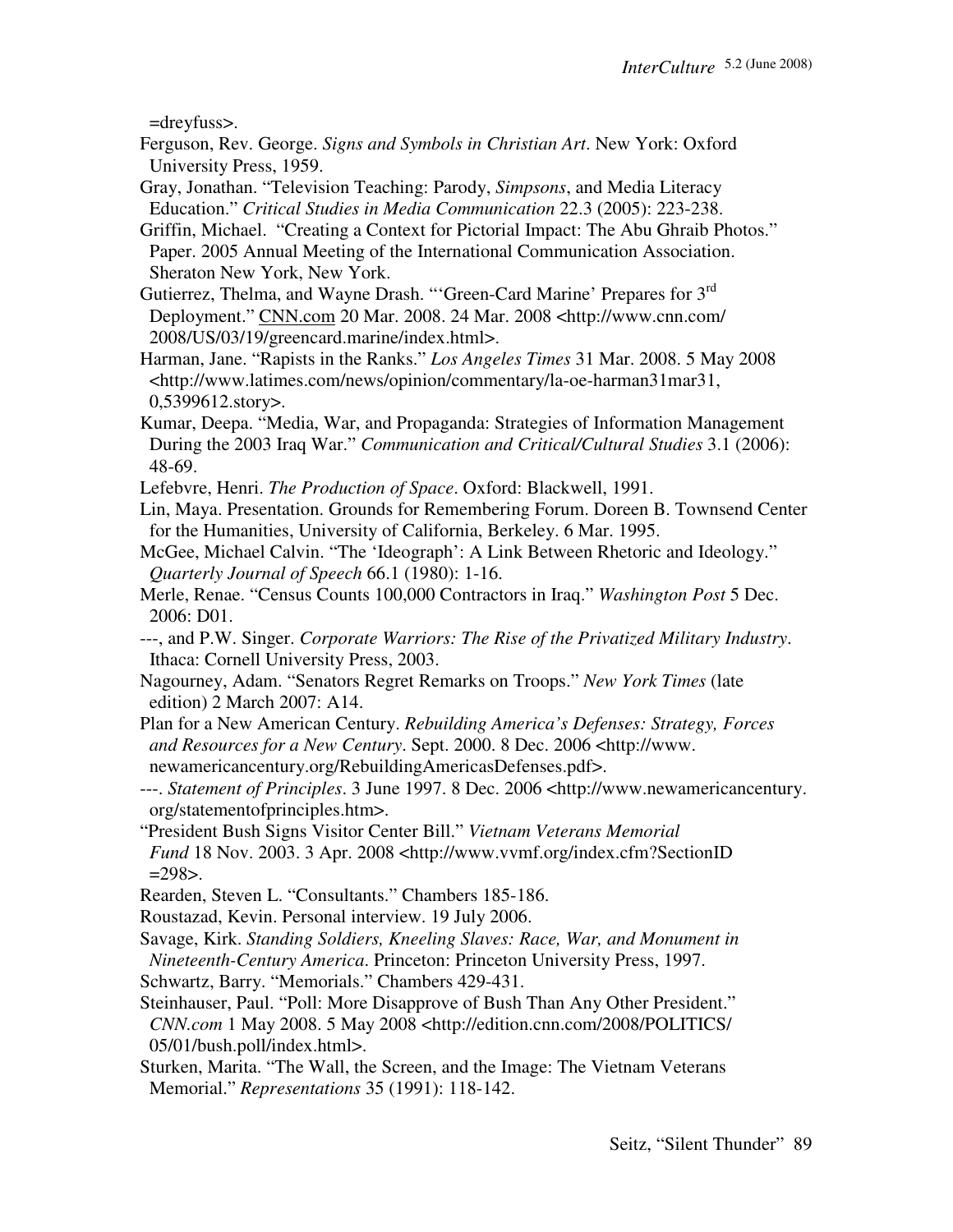=dreyfuss>.

- Ferguson, Rev. George. *Signs and Symbols in Christian Art*. New York: Oxford University Press, 1959.
- Gray, Jonathan. "Television Teaching: Parody, *Simpsons*, and Media Literacy Education." *Critical Studies in Media Communication* 22.3 (2005): 223-238.
- Griffin, Michael. "Creating a Context for Pictorial Impact: The Abu Ghraib Photos." Paper. 2005 Annual Meeting of the International Communication Association. Sheraton New York, New York.
- Gutierrez, Thelma, and Wayne Drash. "'Green-Card Marine' Prepares for 3<sup>rd</sup> Deployment." CNN.com 20 Mar. 2008. 24 Mar. 2008 <http://www.cnn.com/ 2008/US/03/19/greencard.marine/index.html>.
- Harman, Jane. "Rapists in the Ranks." *Los Angeles Times* 31 Mar. 2008. 5 May 2008 <http://www.latimes.com/news/opinion/commentary/la-oe-harman31mar31, 0,5399612.story>.
- Kumar, Deepa. "Media, War, and Propaganda: Strategies of Information Management During the 2003 Iraq War." *Communication and Critical/Cultural Studies* 3.1 (2006): 48-69.
- Lefebvre, Henri. *The Production of Space*. Oxford: Blackwell, 1991.
- Lin, Maya. Presentation. Grounds for Remembering Forum. Doreen B. Townsend Center for the Humanities, University of California, Berkeley. 6 Mar. 1995.
- McGee, Michael Calvin. "The 'Ideograph': A Link Between Rhetoric and Ideology." *Quarterly Journal of Speech* 66.1 (1980): 1-16.
- Merle, Renae. "Census Counts 100,000 Contractors in Iraq." *Washington Post* 5 Dec. 2006: D01.
- ---, and P.W. Singer. *Corporate Warriors: The Rise of the Privatized Military Industry*. Ithaca: Cornell University Press, 2003.
- Nagourney, Adam. "Senators Regret Remarks on Troops." *New York Times* (late edition) 2 March 2007: A14.
- Plan for a New American Century. *Rebuilding America's Defenses: Strategy, Forces and Resources for a New Century*. Sept. 2000. 8 Dec. 2006 <http://www. newamericancentury.org/RebuildingAmericasDefenses.pdf>.
- ---. *Statement of Principles*. 3 June 1997. 8 Dec. 2006 <http://www.newamericancentury. org/statementofprinciples.htm>.
- "President Bush Signs Visitor Center Bill." *Vietnam Veterans Memorial Fund* 18 Nov. 2003. 3 Apr. 2008 <http://www.vvmf.org/index.cfm?SectionID  $=298$ .
- Rearden, Steven L. "Consultants." Chambers 185-186.
- Roustazad, Kevin. Personal interview. 19 July 2006.
- Savage, Kirk. *Standing Soldiers, Kneeling Slaves: Race, War, and Monument in Nineteenth-Century America*. Princeton: Princeton University Press, 1997.
- Schwartz, Barry. "Memorials." Chambers 429-431.
- Steinhauser, Paul. "Poll: More Disapprove of Bush Than Any Other President."  *CNN.com* 1 May 2008. 5 May 2008 <http://edition.cnn.com/2008/POLITICS/ 05/01/bush.poll/index.html>.
- Sturken, Marita. "The Wall, the Screen, and the Image: The Vietnam Veterans Memorial." *Representations* 35 (1991): 118-142.